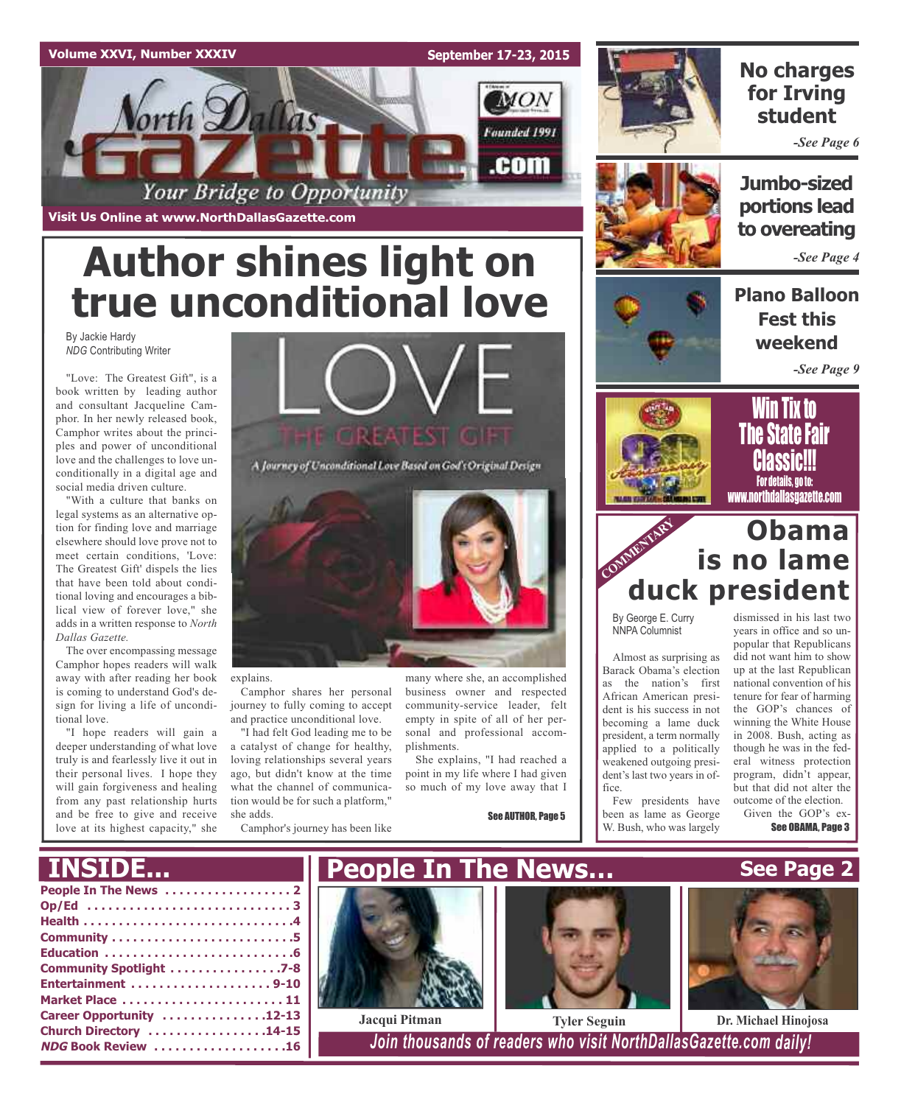



# **No charges for Irving student**

*-See Page 6*

**Visit Us Online at www.NorthDallasGazette.com**

# **Author shines light on true unconditional love**

By Jackie Hardy *NDG* Contributing Writer

"Love: The Greatest Gift", is a book written by leading author and consultant Jacqueline Camphor. In her newly released book, Camphor writes about the principles and power of unconditional love and the challenges to love unconditionally in a digital age and social media driven culture.

"With a culture that banks on legal systems as an alternative option for finding love and marriage elsewhere should love prove not to meet certain conditions, 'Love: The Greatest Gift' dispels the lies that have been told about conditional loving and encourages a biblical view of forever love," she adds in a written response to *North Dallas Gazette.*

The over encompassing message Camphor hopes readers will walk away with after reading her book is coming to understand God's design for living a life of unconditional love.

"I hope readers will gain a deeper understanding of what love truly is and fearlessly live it out in their personal lives. I hope they will gain forgiveness and healing from any past relationship hurts and be free to give and receive love at its highest capacity," she



A Journey of Unconditional Love Based on God's Original Design



explains.

Camphor shares her personal journey to fully coming to accept and practice unconditional love.

"I had felt God leading me to be a catalyst of change for healthy, loving relationships several years ago, but didn't know at the time what the channel of communication would be for such a platform," she adds.

Camphor's journey has been like

many where she, an accomplished business owner and respected community-service leader, felt empty in spite of all of her personal and professional accomplishments.

She explains, "I had reached a point in my life where I had given so much of my love away that I

See AUTHOR, Page 5



# **to overeating** *-See Page 4*

**Jumbo-sized**

**portions lead**

**Plano Balloon Fest this weekend**

*-See Page 9*





# COMMENTARY **COMMENT Obama is no lame duck president**

By George E. Curry NNPA Columnist

Almost as surprising as Barack Obama's election as the nation's first African American president is his success in not becoming a lame duck president, a term normally applied to a politically weakened outgoing president's last two years in office.

Few presidents have been as lame as George W. Bush, who was largely

dismissed in his last two years in office and so unpopular that Republicans did not want him to show up at the last Republican national convention of his tenure for fear of harming the GOP's chances of winning the White House in 2008. Bush, acting as though he was in the federal witness protection program, didn't appear, but that did not alter the outcome of the election.

Given the GOP's ex-See OBAMA, Page 3

**See Page 2**

|  |  | <b>Service Service</b> | e e |   |    |
|--|--|------------------------|-----|---|----|
|  |  |                        |     | . | r. |

| Community Spotlight 7-8   |
|---------------------------|
| Entertainment 9-10        |
| Market Place  11          |
| Career Opportunity 12-13  |
| Church Directory 14-15    |
| <b>NDG Book Review 16</b> |
|                           |





 $1$ Join *thousands* of *readers* who visit NorthDallasGazette.com daily!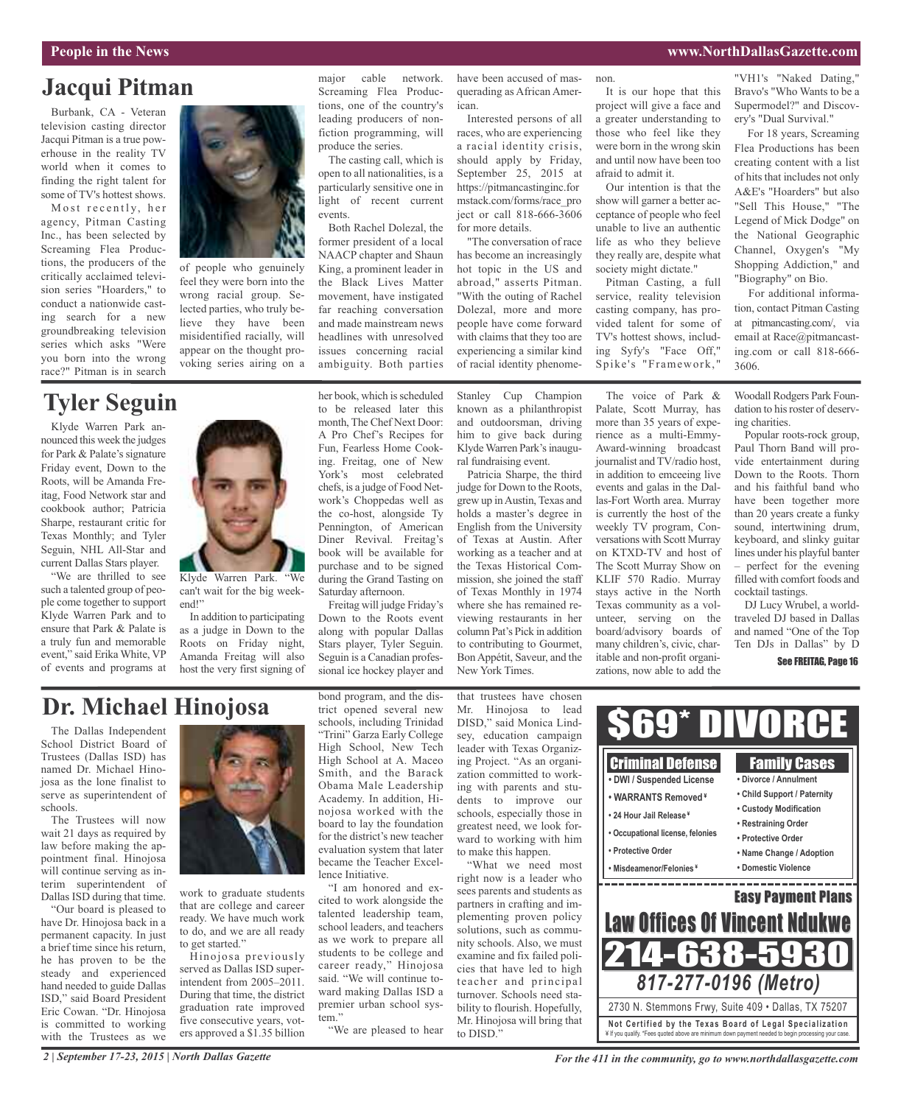# **Jacqui Pitman**

Burbank, CA - Veteran television casting director Jacqui Pitman is a true powerhouse in the reality TV world when it comes to finding the right talent for some of TV's hottest shows.

Most recently, her agency, Pitman Casting Inc., has been selected by Screaming Flea Productions, the producers of the critically acclaimed television series "Hoarders," to conduct a nationwide casting search for a new groundbreaking television series which asks "Were you born into the wrong race?" Pitman is in search

# **Tyler Seguin**

Klyde Warren Park announced this week the judges for Park & Palate's signature Friday event, Down to the Roots, will be Amanda Freitag, Food Network star and cookbook author; Patricia Sharpe, restaurant critic for Texas Monthly; and Tyler Seguin, NHL All-Star and current Dallas Stars player.

"We are thrilled to see such a talented group of people come together to support Klyde Warren Park and to ensure that Park & Palate is a truly fun and memorable event," said Erika White, VP of events and programs at



of people who genuinely feel they were born into the wrong racial group. Selected parties, who truly believe they have been misidentified racially, will appear on the thought provoking series airing on a

major cable network. Screaming Flea Productions, one of the country's leading producers of nonfiction programming, will produce the series.

The casting call, which is open to all nationalities, is a particularly sensitive one in light of recent current events.

Both Rachel Dolezal, the former president of a local NAACP chapter and Shaun King, a prominent leader in the Black Lives Matter movement, have instigated far reaching conversation and made mainstream news headlines with unresolved issues concerning racial ambiguity. Both parties

her book, which is scheduled to be released later this have been accused of masquerading as African American.

Interested persons of all races, who are experiencing a racial identity crisis, should apply by Friday, September 25, 2015 at https://pitmancastinginc.for mstack.com/forms/race\_pro ject or call 818-666-3606 for more details.

"The conversation of race has become an increasingly hot topic in the US and abroad," asserts Pitman. "With the outing of Rachel Dolezal, more and more people have come forward with claims that they too are experiencing a similar kind of racial identity phenome-

Stanley Cup Champion known as a philanthropist and outdoorsman, driving him to give back during Klyde Warren Park's inaugural fundraising event.

Patricia Sharpe, the third judge for Down to the Roots, grew up inAustin, Texas and holds a master's degree in English from the University of Texas at Austin. After working as a teacher and at the Texas Historical Commission, she joined the staff of Texas Monthly in 1974 where she has remained reviewing restaurants in her column Pat's Pick in addition to contributing to Gourmet, BonAppétit, Saveur, and the New York Times.

non.

It is our hope that this project will give a face and a greater understanding to those who feel like they were born in the wrong skin and until now have been too afraid to admit it.

Our intention is that the show will garner a better acceptance of people who feel unable to live an authentic life as who they believe they really are, despite what society might dictate."

Pitman Casting, a full service, reality television casting company, has provided talent for some of TV's hottest shows, including Syfy's "Face Off," Spike's "Framework, "

The voice of Park & Palate, Scott Murray, has more than 35 years of experience as a multi-Emmy-Award-winning broadcast journalist and TV/radio host, in addition to emceeing live events and galas in the Dallas-Fort Worth area. Murray is currently the host of the weekly TV program, Conversations with Scott Murray on KTXD-TV and host of The Scott Murray Show on KLIF 570 Radio. Murray stays active in the North Texas community as a volunteer, serving on the board/advisory boards of many children's, civic, charitable and non-profit organizations, now able to add the

"VH1's "Naked Dating," Bravo's "Who Wants to be a Supermodel?" and Discovery's "Dual Survival."

For 18 years, Screaming Flea Productions has been creating content with a list of hits that includes not only A&E's "Hoarders" but also "Sell This House," "The Legend of Mick Dodge" on the National Geographic Channel, Oxygen's "My Shopping Addiction," and "Biography" on Bio.

For additional information, contact Pitman Casting at pitmancasting.com/, via email at Race@pitmancasting.com or call 818-666- 3606.

Woodall Rodgers Park Foundation to his roster of deserving charities.

Popular roots-rock group, Paul Thorn Band will provide entertainment during Down to the Roots. Thorn and his faithful band who have been together more than 20 years create a funky sound, intertwining drum, keyboard, and slinky guitar lines under his playful banter – perfect for the evening filled with comfort foods and cocktail tastings.

DJ Lucy Wrubel, a worldtraveled DJ based in Dallas and named "One of the Top Ten DJs in Dallas" by D

See FREITAG, Page 16

# **Dr. Michael Hinojosa**

end!"

The Dallas Independent School District Board of Trustees (Dallas ISD) has named Dr. Michael Hinojosa as the lone finalist to serve as superintendent of schools.

The Trustees will now wait 21 days as required by law before making the appointment final. Hinojosa will continue serving as interim superintendent of Dallas ISD during that time.

"Our board is pleased to have Dr. Hinojosa back in a permanent capacity. In just a brief time since his return, he has proven to be the steady and experienced hand needed to guide Dallas ISD," said Board President Eric Cowan. "Dr. Hinojosa is committed to working with the Trustees as we



work to graduate students that are college and career ready. We have much work to do, and we are all ready to get started."

Hinojosa previously served as Dallas ISD superintendent from 2005–2011. During that time, the district graduation rate improved five consecutive years, voters approved a \$1.35 billion

bond program, and the district opened several new schools, including Trinidad "Trini" Garza Early College High School, New Tech High School at A. Maceo Smith, and the Barack Obama Male Leadership Academy. In addition, Hinojosa worked with the board to lay the foundation for the district's new teacher evaluation system that later became the Teacher Excellence Initiative.

"I am honored and excited to work alongside the talented leadership team, school leaders, and teachers as we work to prepare all students to be college and career ready," Hinojosa said. "We will continue toward making Dallas ISD a premier urban school system."

"We are pleased to hear

that trustees have chosen Mr. Hinojosa to lead DISD," said Monica Lindsey, education campaign leader with Texas Organizing Project. "As an organization committed to working with parents and students to improve our schools, especially those in greatest need, we look forward to working with him to make this happen.

"What we need most right now is a leader who sees parents and students as partners in crafting and implementing proven policy solutions, such as community schools. Also, we must examine and fix failed policies that have led to high teacher and principal turnover. Schools need stability to flourish. Hopefully, Mr. Hinojosa will bring that to DISD."



*2 | September 17-23, 2015 | North Dallas Gazette*

*For the 411 in the community, go to www.northdallasgazette.com*

Klyde Warren Park. "We can't wait for the big weekmonth, The Chef Next Door: A Pro Chef's Recipes for Fun, Fearless Home Cooking. Freitag, one of New York's most celebrated chefs, is a judge of Food Network's Choppedas well as the co-host, alongside Ty Pennington, of American Diner Revival. Freitag's book will be available for purchase and to be signed during the Grand Tasting on

In addition to participating as a judge in Down to the Roots on Friday night, Amanda Freitag will also host the very first signing of Saturday afternoon. Freitag will judge Friday's Down to the Roots event along with popular Dallas Stars player, Tyler Seguin. Seguin is a Canadian professional ice hockey player and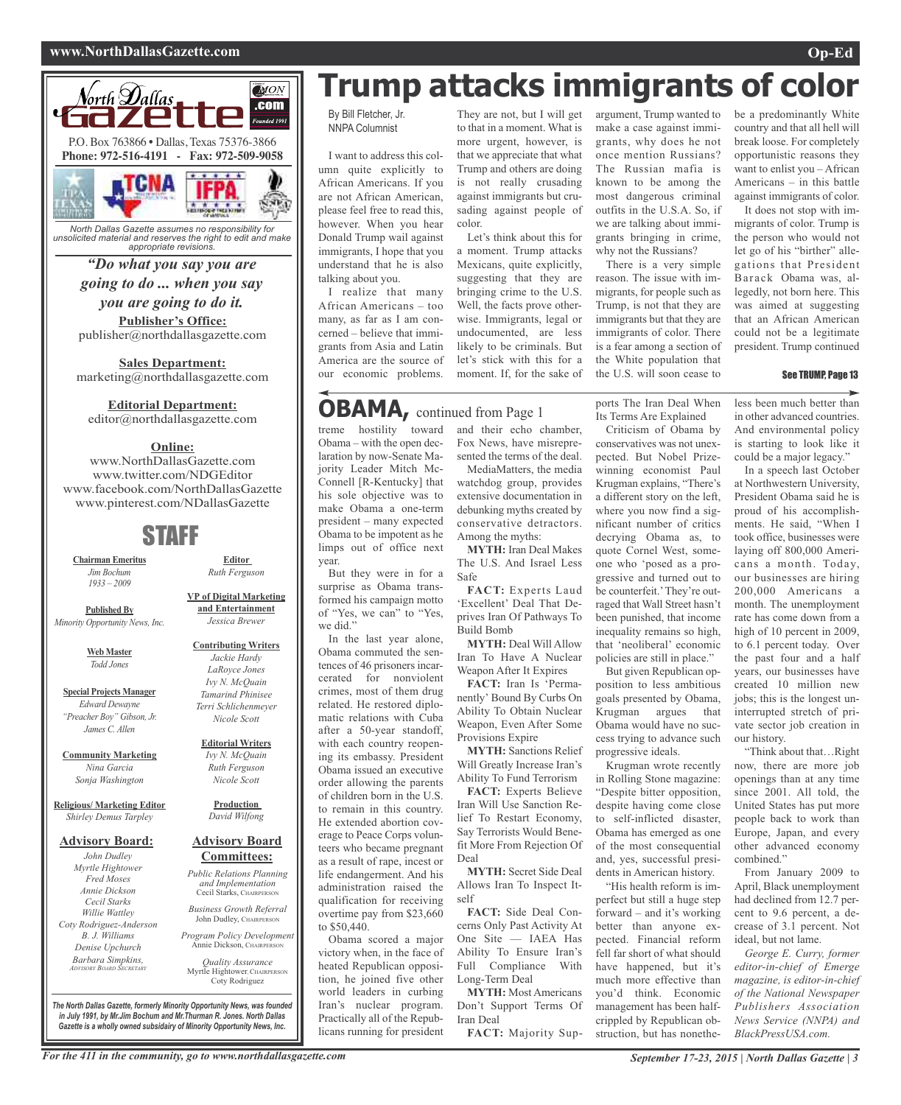## **www.NorthDallasGazette.com Op-Ed**





*North Dallas Gazette assumes no responsibility for unsolicited material and reserves the right to edit and make appropriate revisions.*

# *"Do what you say you are*

# *going to do ... when you say you are going to do it.*

**Publisher's Office:** publisher@northdallasgazette.com

**Sales Department:** marketing@northdallasgazette.com

## **Editorial Department:**

editor@northdallasgazette.com

## **Online:**

www.NorthDallasGazette.com www.twitter.com/NDGEditor www.facebook.com/NorthDallasGazette www.pinterest.com/NDallasGazette

# STAFF

**Chairman Emeritus** *Jim Bochum 1933 – 2009*

**Published By** *Minority Opportunity News, Inc.*

> **Web Master** *Todd Jones*

**Special Projects Manager** *Edward Dewayne "Preacher Boy" Gibson, Jr. James C. Allen*

**Community Marketing** *Nina Garcia Sonja Washington*

**Religious/ Marketing Editor** *Shirley Demus Tarpley*

## **Advisory Board:**

*John Dudley Myrtle Hightower Fred Moses Annie Dickson Cecil Starks Willie Wattley Coty Rodriguez-Anderson B. J. Williams Denise Upchurch Barbara Simpkins, ADVISORY BOARD SECRETARY*

**VP of Digital Marketing and Entertainment** *Jessica Brewer*

**Editor** *Ruth Ferguson*

#### **Contributing Writers** *Jackie Hardy LaRoyce Jones Ivy N. McQuain Tamarind Phinisee Terri Schlichenmeyer Nicole Scott*

#### **Editorial Writers** *Ivy N. McQuain Ruth Ferguson Nicole Scott*

**Production** *David Wilfong*

## **Advisory Board Committees:**

*Public Relations Planning and Implementation* Cecil Starks, CHAIRPERSON

*Business Growth Referral* John Dudley, CHAIRPERSON

*Program Policy Development* Annie Dickson, Chairper

*Quality Assurance* Myrtle Hightower, CHAIRPERSON Coty Rodriguez

*The North Dallas Gazette, formerly Minority Opportunity News, was founded in July 1991, by Mr.Jim Bochum and Mr.Thurman R. Jones. North Dallas Gazette is a wholly owned subsidairy of Minority Opportunity News, Inc.*

# **Trump attacks immigrants of color**

By Bill Fletcher, Jr. NNPA Columnist

I want to address this column quite explicitly to African Americans. If you are not African American, please feel free to read this, however. When you hear Donald Trump wail against immigrants, I hope that you understand that he is also talking about you.

I realize that many African Americans – too many, as far as I am concerned – believe that immigrants from Asia and Latin America are the source of our economic problems.

# **OBAMA,** continued from Page <sup>1</sup>

treme hostility toward Obama – with the open declaration by now-Senate Majority Leader Mitch Mc-Connell [R-Kentucky] that his sole objective was to make Obama a one-term president – many expected Obama to be impotent as he limps out of office next year.

But they were in for a surprise as Obama transformed his campaign motto of "Yes, we can" to "Yes, we did.'

In the last year alone, Obama commuted the sentences of 46 prisoners incarcerated for nonviolent crimes, most of them drug related. He restored diplomatic relations with Cuba after a 50-year standoff, with each country reopening its embassy. President Obama issued an executive order allowing the parents of children born in the U.S. to remain in this country. He extended abortion coverage to Peace Corps volunteers who became pregnant as a result of rape, incest or life endangerment. And his administration raised the qualification for receiving overtime pay from \$23,660 to \$50,440.

Obama scored a major victory when, in the face of heated Republican opposition, he joined five other world leaders in curbing Iran's nuclear program. Practically all of the Republicans running for president

They are not, but I will get to that in a moment. What is more urgent, however, is that we appreciate that what Trump and others are doing is not really crusading against immigrants but crusading against people of color.

Let's think about this for a moment. Trump attacks Mexicans, quite explicitly, suggesting that they are bringing crime to the U.S. Well, the facts prove otherwise. Immigrants, legal or undocumented, are less likely to be criminals. But let's stick with this for a moment. If, for the sake of

> ports The Iran Deal When Its Terms Are Explained

and their echo chamber, Fox News, have misrepresented the terms of the deal. MediaMatters, the media watchdog group, provides extensive documentation in debunking myths created by conservative detractors. Among the myths:

**MYTH:** Iran Deal Makes The U.S. And Israel Less Safe

**FACT:** Experts Laud 'Excellent' Deal That Deprives Iran Of Pathways To Build Bomb

**MYTH:** Deal Will Allow Iran To Have A Nuclear Weapon After It Expires

**FACT:** Iran Is 'Permanently' Bound By Curbs On Ability To Obtain Nuclear Weapon, Even After Some Provisions Expire

**MYTH:** Sanctions Relief Will Greatly Increase Iran's Ability To Fund Terrorism

**FACT:** Experts Believe Iran Will Use Sanction Relief To Restart Economy, Say Terrorists Would Benefit More From Rejection Of Deal

**MYTH:** Secret Side Deal Allows Iran To Inspect Itself

**FACT:** Side Deal Concerns Only Past Activity At One Site — IAEA Has Ability To Ensure Iran's Full Compliance With Long-Term Deal

**MYTH:** Most Americans Don't Support Terms Of Iran Deal

**FACT:** Majority Sup-

argument, Trump wanted to make a case against immigrants, why does he not once mention Russians? The Russian mafia is known to be among the most dangerous criminal outfits in the U.S.A. So, if we are talking about immigrants bringing in crime, why not the Russians?

There is a very simple reason. The issue with immigrants, for people such as Trump, is not that they are immigrants but that they are immigrants of color. There is a fear among a section of the White population that the U.S. will soon cease to

Criticism of Obama by conservatives was not unexpected. But Nobel Prizewinning economist Paul Krugman explains, "There's a different story on the left, where you now find a significant number of critics decrying Obama as, to quote Cornel West, someone who 'posed as a progressive and turned out to be counterfeit.'They're outraged that Wall Street hasn't been punished, that income inequality remains so high, that 'neoliberal' economic policies are still in place." But given Republican opposition to less ambitious goals presented by Obama, Krugman argues that Obama would have no success trying to advance such

progressive ideals.

Krugman wrote recently in Rolling Stone magazine: "Despite bitter opposition, despite having come close to self-inflicted disaster, Obama has emerged as one of the most consequential and, yes, successful presidents in American history. "His health reform is imperfect but still a huge step forward – and it's working better than anyone expected. Financial reform fell far short of what should have happened, but it's much more effective than you'd think. Economic management has been halfcrippled by Republican obstruction, but has nonethebe a predominantly White country and that all hell will break loose. For completely opportunistic reasons they want to enlist you – African Americans – in this battle against immigrants of color.

It does not stop with immigrants of color. Trump is the person who would not let go of his "birther" allegations that President Barack Obama was, allegedly, not born here. This was aimed at suggesting that an African American could not be a legitimate president. Trump continued

#### See TRUMP, Page 13

less been much better than in other advanced countries. And environmental policy is starting to look like it could be a major legacy."

In a speech last October at Northwestern University, President Obama said he is proud of his accomplishments. He said, "When I took office, businesses were laying off 800,000 Americans a month. Today, our businesses are hiring 200,000 Americans a month. The unemployment rate has come down from a high of 10 percent in 2009, to 6.1 percent today. Over the past four and a half years, our businesses have created 10 million new jobs; this is the longest uninterrupted stretch of private sector job creation in our history.

"Think about that…Right now, there are more job openings than at any time since 2001. All told, the United States has put more people back to work than Europe, Japan, and every other advanced economy combined."

From January 2009 to April, Black unemployment had declined from 12.7 percent to 9.6 percent, a decrease of 3.1 percent. Not ideal, but not lame.

*George E. Curry, former editor-in-chief of Emerge magazine, is editor-in-chief of the National Newspaper Publishers Association News Service (NNPA) and BlackPressUSA.com.*

For the 411 in the community, go to www.northdallasgazette.com September 17-23, 2015 | North Dallas Gazette | 3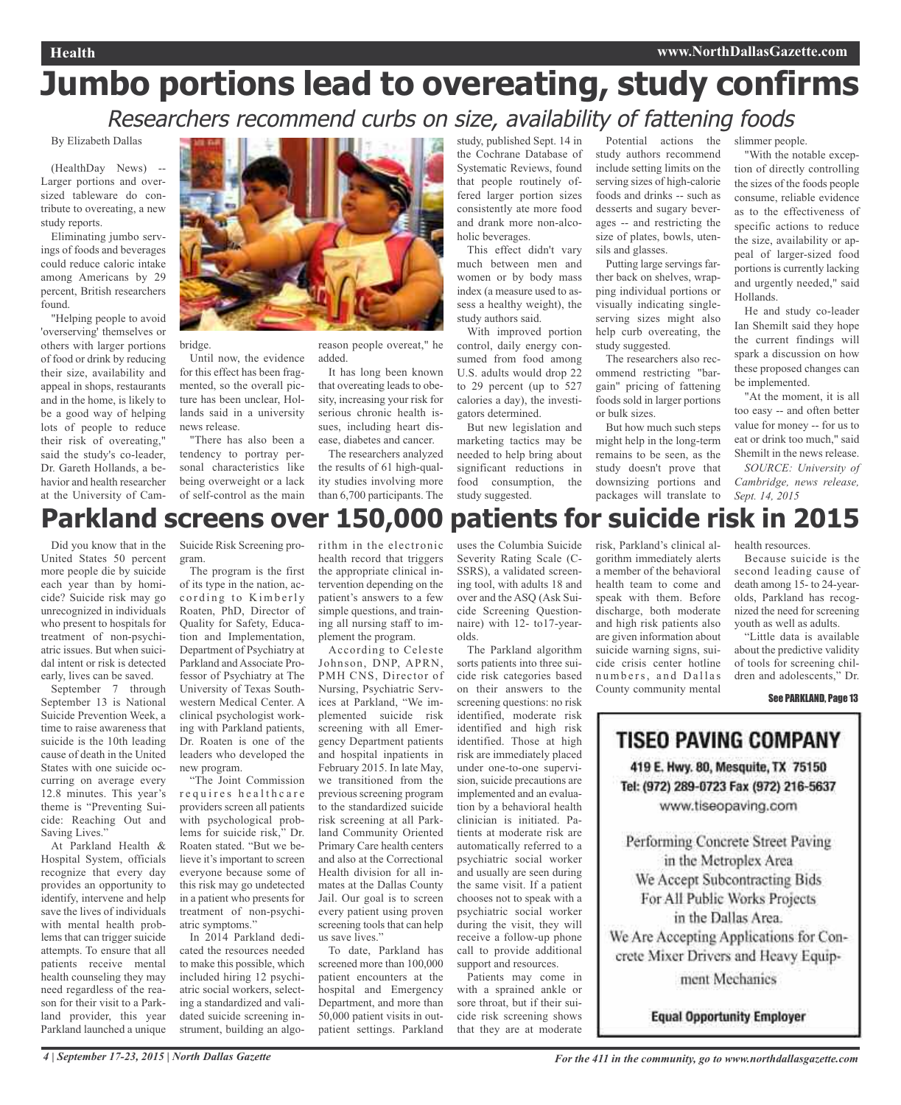# **Jumbo portions lead to overeating, study confirms** Researchers recommend curbs on size, availability of fattening foods

## By Elizabeth Dallas

(HealthDay News) -- Larger portions and oversized tableware do contribute to overeating, a new study reports.

Eliminating jumbo servings of foods and beverages could reduce caloric intake among Americans by 29 percent, British researchers found.

"Helping people to avoid 'overserving' themselves or others with larger portions of food or drink by reducing their size, availability and appeal in shops, restaurants and in the home, is likely to be a good way of helping lots of people to reduce their risk of overeating," said the study's co-leader, Dr. Gareth Hollands, a behavior and health researcher at the University of Cam-



bridge.

Until now, the evidence for this effect has been fragmented, so the overall picture has been unclear, Hollands said in a university news release.

"There has also been a tendency to portray personal characteristics like being overweight or a lack of self-control as the main reason people overeat," he added.

It has long been known that overeating leads to obesity, increasing your risk for serious chronic health issues, including heart disease, diabetes and cancer.

The researchers analyzed the results of 61 high-quality studies involving more than 6,700 participants. The study, published Sept. 14 in the Cochrane Database of Systematic Reviews, found that people routinely offered larger portion sizes consistently ate more food and drank more non-alcoholic beverages.

This effect didn't vary much between men and women or by body mass index (a measure used to assess a healthy weight), the study authors said.

With improved portion control, daily energy consumed from food among U.S. adults would drop 22 to 29 percent (up to 527 calories a day), the investigators determined.

But new legislation and marketing tactics may be needed to help bring about significant reductions in food consumption, the study suggested.

Potential actions the study authors recommend include setting limits on the serving sizes of high-calorie foods and drinks -- such as desserts and sugary beverages -- and restricting the size of plates, bowls, utensils and glasses.

Putting large servings farther back on shelves, wrapping individual portions or visually indicating singleserving sizes might also help curb overeating, the study suggested.

The researchers also recommend restricting "bargain" pricing of fattening foods sold in larger portions or bulk sizes.

But how much such steps might help in the long-term remains to be seen, as the study doesn't prove that downsizing portions and packages will translate to

slimmer people.

"With the notable exception of directly controlling the sizes of the foods people consume, reliable evidence as to the effectiveness of specific actions to reduce the size, availability or appeal of larger-sized food portions is currently lacking and urgently needed," said Hollands.

He and study co-leader Ian Shemilt said they hope the current findings will spark a discussion on how these proposed changes can be implemented.

"At the moment, it is all too easy -- and often better value for money -- for us to eat or drink too much," said Shemilt in the news release.

*SOURCE: University of Cambridge, news release, Sept. 14, 2015*

# **Parkland screens over 150,000 patients for suicide risk in 2015**

Did you know that in the United States 50 percent more people die by suicide each year than by homicide? Suicide risk may go unrecognized in individuals who present to hospitals for treatment of non-psychiatric issues. But when suicidal intent or risk is detected early, lives can be saved.

September 7 through September 13 is National Suicide Prevention Week, a time to raise awareness that suicide is the 10th leading cause of death in the United States with one suicide occurring on average every 12.8 minutes. This year's theme is "Preventing Suicide: Reaching Out and Saving Lives.'

At Parkland Health & Hospital System, officials recognize that every day provides an opportunity to identify, intervene and help save the lives of individuals with mental health problems that can trigger suicide attempts. To ensure that all patients receive mental health counseling they may need regardless of the reason for their visit to a Parkland provider, this year Parkland launched a unique

Suicide Risk Screening program.

The program is the first of its type in the nation, according to Kimberly Roaten, PhD, Director of Quality for Safety, Education and Implementation, Department of Psychiatry at Parkland and Associate Professor of Psychiatry at The University of Texas Southwestern Medical Center. A clinical psychologist working with Parkland patients, Dr. Roaten is one of the leaders who developed the new program.

"The Joint Commission requires healthcare providers screen all patients with psychological problems for suicide risk," Dr. Roaten stated. "But we believe it's important to screen everyone because some of this risk may go undetected in a patient who presents for treatment of non-psychiatric symptoms."

In 2014 Parkland dedicated the resources needed to make this possible, which included hiring 12 psychiatric social workers, selecting a standardized and validated suicide screening instrument, building an algo-

rithm in the electronic health record that triggers the appropriate clinical intervention depending on the patient's answers to a few simple questions, and training all nursing staff to implement the program.

According to Celeste Johnson, DNP, APRN, PMH CNS, Director of Nursing, Psychiatric Services at Parkland, "We implemented suicide risk screening with all Emergency Department patients and hospital inpatients in February 2015. In late May, we transitioned from the previous screening program to the standardized suicide risk screening at all Parkland Community Oriented Primary Care health centers and also at the Correctional Health division for all inmates at the Dallas County Jail. Our goal is to screen every patient using proven screening tools that can help us save lives."

To date, Parkland has screened more than 100,000 patient encounters at the hospital and Emergency Department, and more than 50,000 patient visits in outpatient settings. Parkland

uses the Columbia Suicide Severity Rating Scale (C-SSRS), a validated screening tool, with adults 18 and over and the ASQ (Ask Suicide Screening Questionnaire) with 12- to17-yearolds.

The Parkland algorithm sorts patients into three suicide risk categories based on their answers to the screening questions: no risk identified, moderate risk identified and high risk identified. Those at high risk are immediately placed under one-to-one supervision, suicide precautions are implemented and an evaluation by a behavioral health clinician is initiated. Patients at moderate risk are automatically referred to a psychiatric social worker and usually are seen during the same visit. If a patient chooses not to speak with a psychiatric social worker during the visit, they will receive a follow-up phone call to provide additional support and resources.

Patients may come in with a sprained ankle or sore throat, but if their suicide risk screening shows that they are at moderate risk, Parkland's clinical algorithm immediately alerts a member of the behavioral health team to come and speak with them. Before discharge, both moderate and high risk patients also are given information about suicide warning signs, suicide crisis center hotline numbers, and Dallas County community mental

health resources.

Because suicide is the second leading cause of death among 15- to 24-yearolds, Parkland has recognized the need for screening youth as well as adults.

"Little data is available about the predictive validity of tools for screening children and adolescents," Dr.

See PARKLAND, Page 13

**TISEO PAVING COMPANY** 419 E. Hwy. 80, Mesquite, TX 75150 Tel: (972) 289-0723 Fax (972) 216-5637

www.tiseopaving.com

Performing Concrete Street Paving in the Metroplex Area We Accept Subcontracting Bids For All Public Works Projects in the Dallas Area. We Are Accepting Applications for Concrete Mixer Drivers and Heavy Equip-

ment Mechanics

**Equal Opportunity Employer**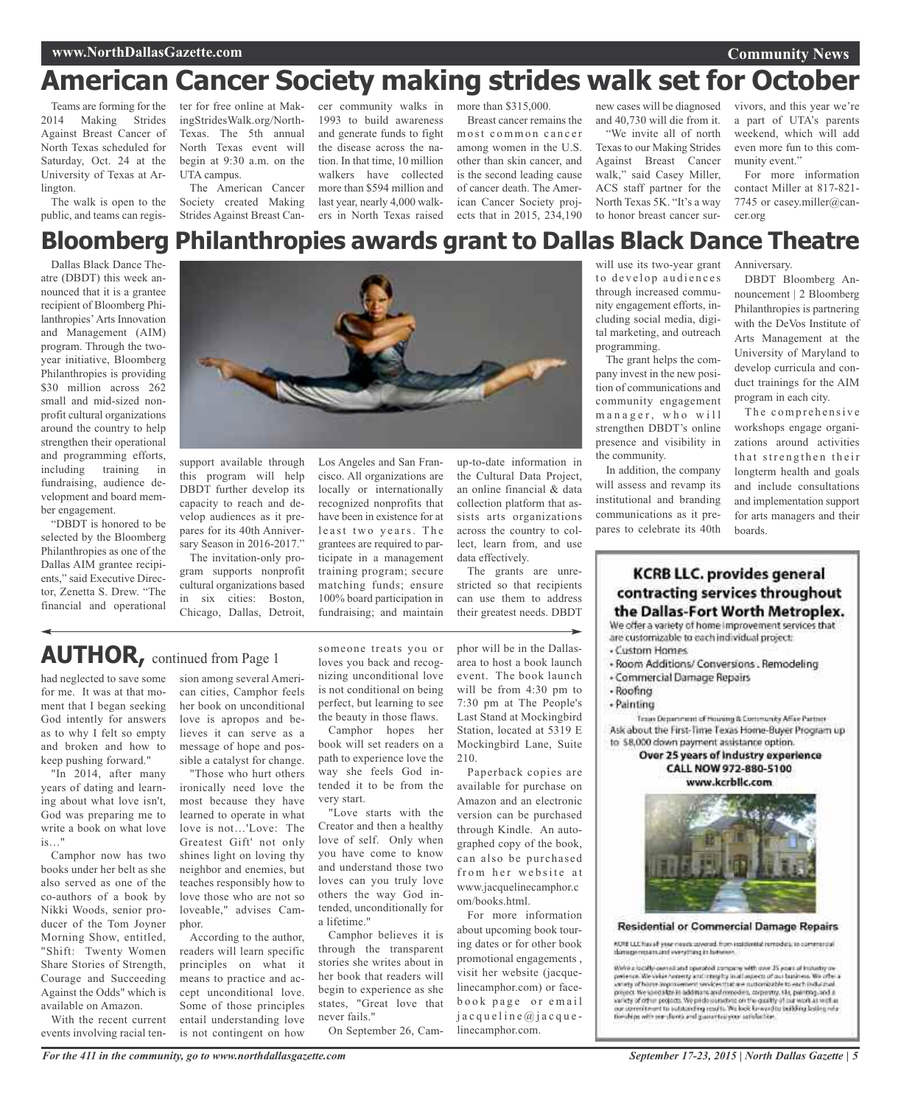## **www.NorthDallasGazette.com**

# **American Cancer Society making strides walk set for October**

Teams are forming for the 2014 Making Strides Against Breast Cancer of North Texas scheduled for Saturday, Oct. 24 at the University of Texas at Arlington.

The walk is open to the public, and teams can register for free online at MakingStridesWalk.org/North-Texas. The 5th annual North Texas event will begin at 9:30 a.m. on the UTA campus.

The American Cancer Society created Making Strides Against Breast Can-

cer community walks in 1993 to build awareness and generate funds to fight the disease across the nation. In that time, 10 million walkers have collected more than \$594 million and last year, nearly 4,000 walkers in North Texas raised

more than \$315,000. Breast cancer remains the most common cancer among women in the U.S. other than skin cancer, and is the second leading cause of cancer death. The American Cancer Society projects that in 2015, 234,190

new cases will be diagnosed and 40,730 will die from it. "We invite all of north Texas to our Making Strides Against Breast Cancer walk," said Casey Miller, ACS staff partner for the North Texas 5K. "It's a way to honor breast cancer sur-

vivors, and this year we're a part of UTA's parents weekend, which will add even more fun to this community event."

For more information contact Miller at 817-821- 7745 or casey.miller@cancer.org

# **Bloomberg Philanthropies awards grant to Dallas Black Dance Theatre**

Dallas Black Dance Theatre (DBDT) this week announced that it is a grantee recipient of Bloomberg Philanthropies' Arts Innovation and Management (AIM) program. Through the twoyear initiative, Bloomberg Philanthropies is providing \$30 million across 262 small and mid-sized nonprofit cultural organizations around the country to help strengthen their operational and programming efforts, including training in fundraising, audience development and board member engagement.

"DBDT is honored to be selected by the Bloomberg Philanthropies as one of the Dallas AIM grantee recipients," said Executive Director, Zenetta S. Drew. "The financial and operational



support available through this program will help DBDT further develop its capacity to reach and develop audiences as it prepares for its 40th Anniversary Season in 2016-2017."

The invitation-only program supports nonprofit cultural organizations based in six cities: Boston, Chicago, Dallas, Detroit,

Los Angeles and San Francisco. All organizations are locally or internationally recognized nonprofits that have been in existence for at least two years. The grantees are required to participate in a management training program; secure matching funds; ensure 100% board participation in fundraising; and maintain

up-to-date information in the Cultural Data Project, an online financial & data collection platform that assists arts organizations across the country to collect, learn from, and use data effectively.

The grants are unrestricted so that recipients can use them to address their greatest needs. DBDT

# **AUTHOR,** continued from Page <sup>1</sup>

had neglected to save some for me. It was at that moment that I began seeking God intently for answers as to why I felt so empty and broken and how to keep pushing forward."

"In 2014, after many years of dating and learning about what love isn't, God was preparing me to write a book on what love is…"

Camphor now has two books under her belt as she also served as one of the co-authors of a book by Nikki Woods, senior producer of the Tom Joyner Morning Show, entitled, "Shift: Twenty Women Share Stories of Strength, Courage and Succeeding Against the Odds" which is available on Amazon.

With the recent current events involving racial ten-

sion among several American cities, Camphor feels her book on unconditional love is apropos and believes it can serve as a message of hope and possible a catalyst for change.

"Those who hurt others ironically need love the most because they have learned to operate in what love is not…'Love: The Greatest Gift' not only shines light on loving thy neighbor and enemies, but teaches responsibly how to love those who are not so loveable," advises Camphor.

According to the author, readers will learn specific principles on what it means to practice and accept unconditional love. Some of those principles entail understanding love is not contingent on how

someone treats you or loves you back and recognizing unconditional love is not conditional on being perfect, but learning to see the beauty in those flaws.

Camphor hopes her book will set readers on a path to experience love the way she feels God intended it to be from the very start.

"Love starts with the Creator and then a healthy love of self. Only when you have come to know and understand those two loves can you truly love others the way God intended, unconditionally for a lifetime."

Camphor believes it is through the transparent stories she writes about in her book that readers will begin to experience as she states, "Great love that never fails."

On September 26, Cam-

phor will be in the Dallasarea to host a book launch event. The book launch will be from 4:30 pm to 7:30 pm at The People's Last Stand at Mockingbird Station, located at 5319 E Mockingbird Lane, Suite 210.

Paperback copies are available for purchase on Amazon and an electronic version can be purchased through Kindle. An autographed copy of the book, can also be purchased from her website at www.jacquelinecamphor.c om/books.html.

For more information about upcoming book touring dates or for other book promotional engagements , visit her website (jacquelinecamphor.com) or facebook page or email  $j$  a c que l i n e  $\omega$  j a c que linecamphor.com.

will use its two-year grant to develop audiences through increased community engagement efforts, including social media, digital marketing, and outreach programming.

The grant helps the company invest in the new position of communications and community engagement manager, who will strengthen DBDT's online presence and visibility in the community.

In addition, the company will assess and revamp its institutional and branding communications as it prepares to celebrate its 40th Anniversary.

DBDT Bloomberg Announcement | 2 Bloomberg Philanthropies is partnering with the DeVos Institute of Arts Management at the University of Maryland to develop curricula and conduct trainings for the AIM program in each city.

The comprehensive workshops engage organizations around activities that strengthen their longterm health and goals and include consultations and implementation support for arts managers and their boards.

# **KCRB LLC. provides general** contracting services throughout the Dallas-Fort Worth Metroplex.

We offer a variety of home improvement services that are customizable to each individual project:

- $C$ ustom Homes
- · Room Additions/ Conversions . Remodeling
- Commercial Damage Repairs
- Roofing
- Painting

Tesas Department of Housing & Community Affer Partner Ask about the First-Time Texas Home-Buyer Program up to \$8,000 down payment assistance option.

#### Over 25 years of industry experience CALL NOW 972-880-5100 www.kcrbllc.com



**Residential or Commercial Damage Repairs** 

KON LLC has all your resets sovered, from stationted remodels, to commercial damage restanting everything in between.

We<br>have its cally-sected and operated company with one  $\overline{B}$ <br>posterior in the value formula control and improved and contained of the<br>control we offer an interval of the section of the control of the<br>section of the sec variety of other projects. We pride surveives on the quality of our work at welf as our speech must be instanced up results. We look for word to beliefing helding relationship in the subsection and guarantee your antichlor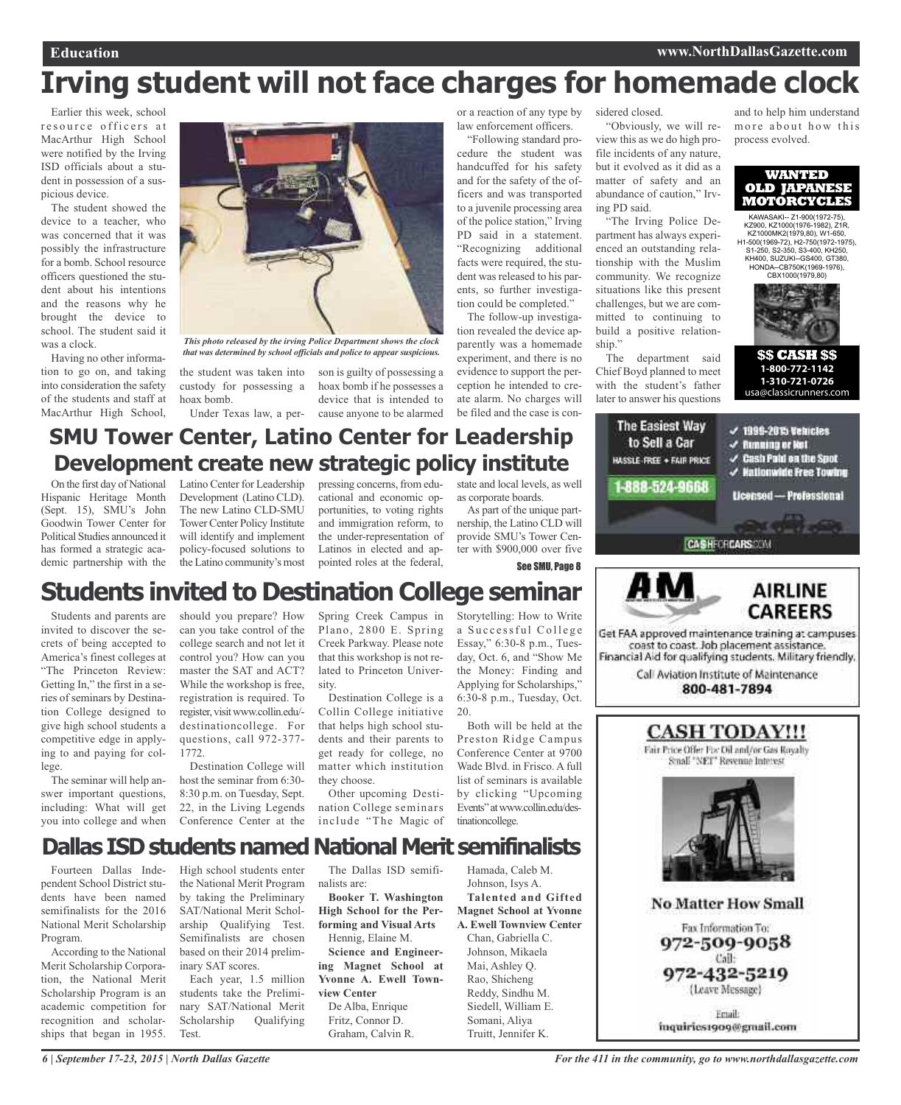## **Education www.NorthDallasGazette.com**

# **Irving student will not face charges for homemade clock**

Earlier this week, school resource officers at MacArthur High School were notified by the Irving ISD officials about a student in possession of a suspicious device.

The student showed the device to a teacher, who was concerned that it was possibly the infrastructure for a bomb. School resource officers questioned the student about his intentions and the reasons why he brought the device to school. The student said it was a clock.

Having no other information to go on, and taking into consideration the safety of the students and staff at MacArthur High School,



*This photo released by the irving Police Department shows the clock that was determined by school officials and police to appear suspicious.*

the student was taken into son is guilty of possessing a custody for possessing a hoax bomb. Under Texas law, a per-

hoax bomb if he possesses a device that is intended to cause anyone to be alarmed

or a reaction of any type by law enforcement officers.

"Following standard procedure the student was handcuffed for his safety and for the safety of the officers and was transported to a juvenile processing area of the police station," Irving PD said in a statement. "Recognizing additional facts were required, the student was released to his parents, so further investigation could be completed."

The follow-up investigation revealed the device apparently was a homemade experiment, and there is no evidence to support the perception he intended to create alarm. No charges will be filed and the case is con-

sidered closed.

"Obviously, we will review this as we do high profile incidents of any nature, but it evolved as it did as a matter of safety and an abundance of caution," Irving PD said.

"The Irving Police Department has always experienced an outstanding relationship with the Muslim community. We recognize situations like this present challenges, but we are committed to continuing to build a positive relationship."

The department said Chief Boyd planned to meet with the student's father later to answer his questions

The Easiest Way

to Sell a Car

HASSLE-FREE + FAIR PRICE

1-888-524-9668

and to help him understand more about how this process evolved.



KAWASAKI-- Z1-900(1972-75), KZ900, KZ1000(1976-1982), Z1R, KZ1000MK2(1979,80), W1-650, H1-500(1969-72), H2-750(1972-1975), S1-250, S2-350, S3-400, KH250, KH400, SUZUKI--GS400, GT380, HONDA--CB750K(1969-1976), CBX1000(1979,80)



**\$\$ CASH \$\$ 1-800-772-1142 1-310-721-0726**  usa@classicrunners.com

 $<$  1999-2035 Vehicles

 $\checkmark$  Hationwide Free Towing

Licensed - Professional

 $\checkmark$  Running or Not  $\checkmark$  Cash Paid on the Spot

# **SMU Tower Center, Latino Center for Leadership Development create new strategic policy institute**

On the first day of National Hispanic Heritage Month (Sept. 15), SMU's John Goodwin Tower Center for Political Studies announced it has formed a strategic academic partnership with the

Latino Center for Leadership Development (Latino CLD). The new Latino CLD-SMU Tower Center Policy Institute will identify and implement policy-focused solutions to the Latino community's most

pressing concerns, from educational and economic opportunities, to voting rights and immigration reform, to the under-representation of Latinos in elected and appointed roles at the federal,

state and local levels, as well as corporate boards.

As part of the unique partnership, the Latino CLD will provide SMU's Tower Center with \$900,000 over five

See SMU, Page 8

# **Students invited to Destination College seminar**

Students and parents are invited to discover the secrets of being accepted to America's finest colleges at "The Princeton Review: Getting In," the first in a series of seminars by Destination College designed to give high school students a competitive edge in applying to and paying for college.

The seminar will help answer important questions, including: What will get you into college and when should you prepare? How can you take control of the college search and not let it control you? How can you master the SAT and ACT? While the workshop is free, registration is required. To register, visitwww.collin.edu/ destinationcollege. For questions, call 972-377- 1772.

Destination College will host the seminar from 6:30- 8:30 p.m. on Tuesday, Sept. 22, in the Living Legends Conference Center at the Spring Creek Campus in Plano, 2800 E. Spring Creek Parkway. Please note that this workshop is not related to Princeton University.

Destination College is a Collin College initiative that helps high school students and their parents to get ready for college, no matter which institution they choose.

Other upcoming Destination College seminars include "The Magic of Storytelling: How to Write a Successful College Essay," 6:30-8 p.m., Tuesday, Oct. 6, and "Show Me the Money: Finding and Applying for Scholarships," 6:30-8 p.m., Tuesday, Oct. 20.

Both will be held at the Preston Ridge Campus Conference Center at 9700 Wade Blvd. in Frisco. A full list of seminars is available by clicking "Upcoming Events"atwww.collin.edu/destinationcollege.

# **Dallas ISD students named National Merit semifinalists**

Fourteen Dallas Independent School District students have been named semifinalists for the 2016 National Merit Scholarship Program.

According to the National Merit Scholarship Corporation, the National Merit Scholarship Program is an academic competition for recognition and scholarships that began in 1955.

High school students enter the National Merit Program by taking the Preliminary SAT/National Merit Scholarship Qualifying Test. Semifinalists are chosen based on their 2014 preliminary SAT scores.

Each year, 1.5 million students take the Preliminary SAT/National Merit Scholarship Qualifying Test.

The Dallas ISD semifinalists are:

**Booker T. Washington High School for the Performing and Visual Arts** Hennig, Elaine M.

**Science and Engineering Magnet School at Yvonne A. Ewell Townview Center** De Alba, Enrique

Fritz, Connor D. Graham, Calvin R.

Hamada, Caleb M. Johnson, Isys A. **Talented and Gifted**

**Magnet School at Yvonne A. Ewell Townview Center** Chan, Gabriella C. Johnson, Mikaela Mai, Ashley Q. Rao, Shicheng Reddy, Sindhu M. Siedell, William E. Somani, Aliya Truitt, Jennifer K.



Call Aviation Institute of Maintenance 800-481-7894

**CASHFCFCARS** 

## **CASH TODAY!!!** Fair Price Offer Foc Oil and/or Gas Royalty

Small "NET" Revenue Interest



**No Matter How Small** Fax Information To: 972-509-9058 Call: 972-432-5219 (Leave Message) Friail:

inquiries1909@gmail.com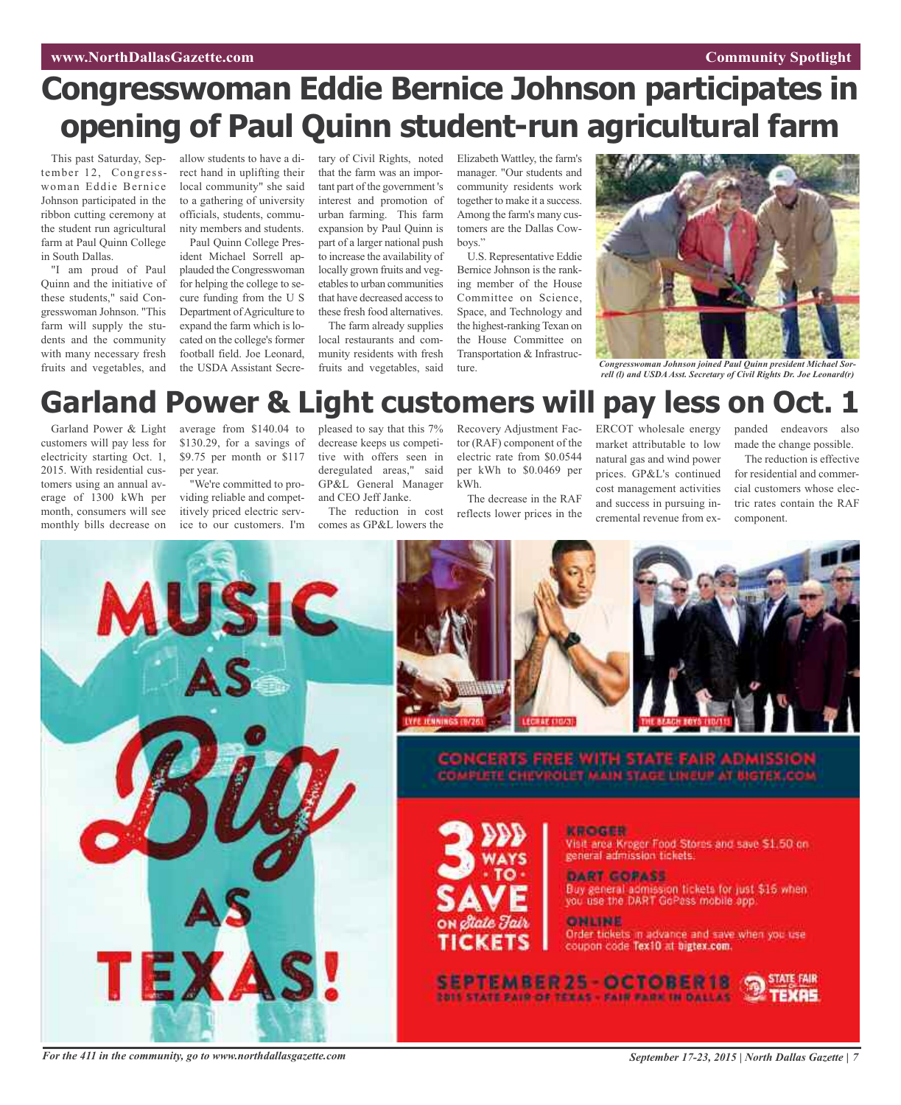# **www.NorthDallasGazette.com Community** Spotlight

# **Congresswoman Eddie Bernice Johnson participates in opening of Paul Quinn student-run agricultural farm**

This past Saturday, September 12, Congresswoman Eddie Bernice Johnson participated in the ribbon cutting ceremony at the student run agricultural farm at Paul Quinn College in South Dallas.

"I am proud of Paul Quinn and the initiative of these students," said Congresswoman Johnson. "This farm will supply the students and the community with many necessary fresh fruits and vegetables, and

allow students to have a direct hand in uplifting their local community" she said to a gathering of university officials, students, community members and students.

Paul Quinn College President Michael Sorrell applauded the Congresswoman for helping the college to secure funding from the U S Department of Agriculture to expand the farm which is located on the college's former football field. Joe Leonard, the USDA Assistant Secretary of Civil Rights, noted that the farm was an important part of the government 's interest and promotion of urban farming. This farm expansion by Paul Quinn is part of a larger national push to increase the availability of locally grown fruits and vegetables to urban communities that have decreased access to these fresh food alternatives.

The farm already supplies local restaurants and community residents with fresh fruits and vegetables, said

Elizabeth Wattley, the farm's manager. "Our students and community residents work together to make it a success. Among the farm's many customers are the Dallas Cowboys."

U.S. Representative Eddie Bernice Johnson is the ranking member of the House Committee on Science, Space, and Technology and the highest-ranking Texan on the House Committee on Transportation & Infrastructure.



*Congresswoman Johnson joined Paul Quinn president Michael Sorrell (l) and USDAAsst. Secretary of Civil Rights Dr. Joe Leonard(r)*

# **Garland Power & Light customers will pay less on Oct. 1**

Garland Power & Light customers will pay less for electricity starting Oct. 1, 2015. With residential customers using an annual average of 1300 kWh per month, consumers will see monthly bills decrease on

average from \$140.04 to \$130.29, for a savings of \$9.75 per month or \$117 per year.

"We're committed to providing reliable and competitively priced electric service to our customers. I'm

pleased to say that this 7% decrease keeps us competitive with offers seen in deregulated areas," said GP&L General Manager and CEO Jeff Janke.

The reduction in cost comes as GP&L lowers the

Recovery Adjustment Factor (RAF) component of the electric rate from \$0.0544 per kWh to \$0.0469 per kWh.

The decrease in the RAF reflects lower prices in the

ERCOT wholesale energy market attributable to low natural gas and wind power prices. GP&L's continued cost management activities and success in pursuing incremental revenue from ex-

panded endeavors also made the change possible.

The reduction is effective for residential and commercial customers whose electric rates contain the RAF component.









CONCERTS FREE WITH STATE FAIR ADMISSIO<br>COMPLETE CHEVROLET MAIN STAGE LINEUP AT BIGTEX.CO



**KROGER** Visit area Kreger Food Stores and save \$1.50 on general admission tickets.

DART GORASS Buy general admission tickets for just \$15 when<br>you use the DART GoPass mobile app.

**ONLINE** 

Order tickets in advance and save when you use coupon code Tex10 at bigtex.com.

SEPTEMBER 25 - OCTOBER 18

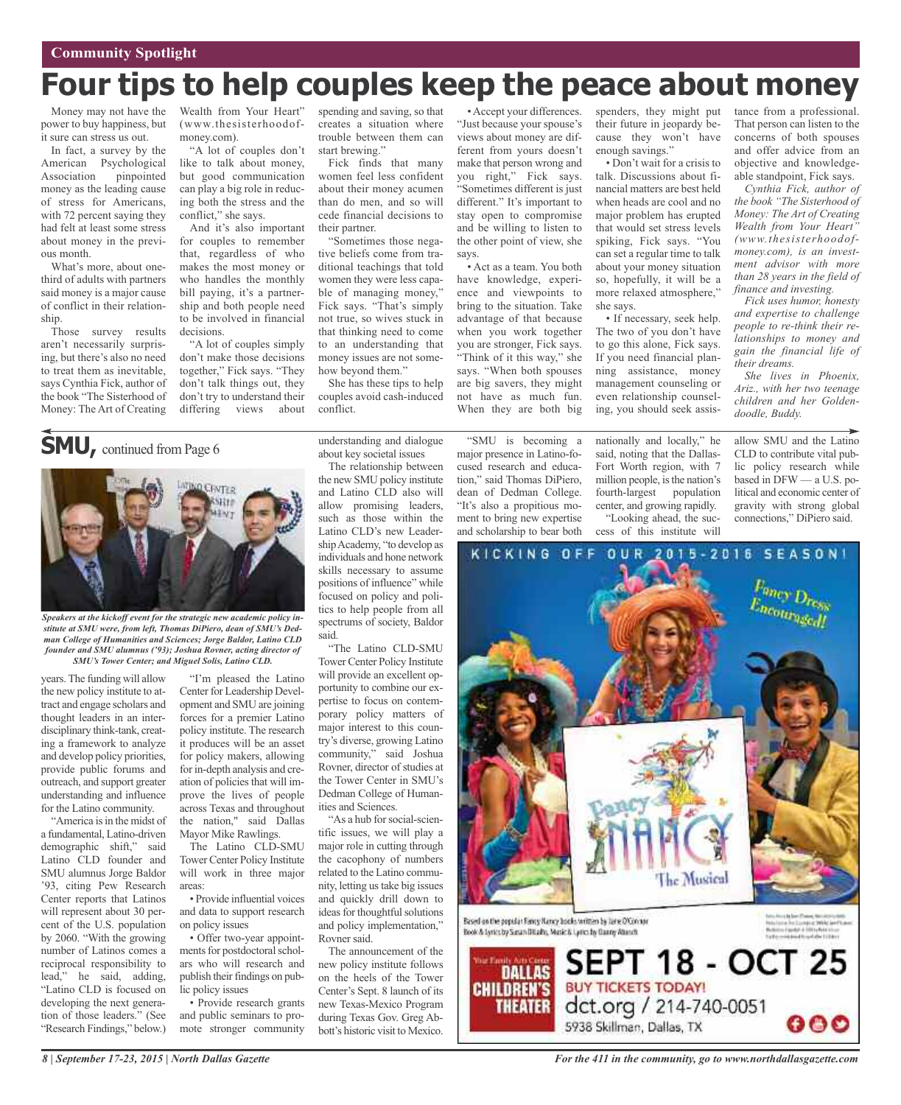# **Four tips to help couples keep the peace about money**

Money may not have the power to buy happiness, but it sure can stress us out.

In fact, a survey by the American Psychological Association pinpointed money as the leading cause of stress for Americans, with 72 percent saying they had felt at least some stress about money in the previous month.

What's more, about onethird of adults with partners said money is a major cause of conflict in their relationship.

Those survey results aren't necessarily surprising, but there's also no need to treat them as inevitable, says Cynthia Fick, author of the book "The Sisterhood of Money: The Art of Creating

**SMU,** continued from Page <sup>6</sup>

Wealth from Your Heart" (www.thesisterhoodofmoney.com).

"A lot of couples don't like to talk about money, but good communication can play a big role in reducing both the stress and the conflict," she says.

And it's also important for couples to remember that, regardless of who makes the most money or who handles the monthly bill paying, it's a partnership and both people need to be involved in financial decisions.

"A lot of couples simply don't make those decisions together," Fick says. "They don't talk things out, they don't try to understand their differing views about

**ATINO CENTER** 

Gite

spending and saving, so that creates a situation where trouble between them can start brewing."

Fick finds that many women feel less confident about their money acumen than do men, and so will cede financial decisions to their partner.

"Sometimes those negative beliefs come from traditional teachings that told women they were less capable of managing money," Fick says. "That's simply not true, so wives stuck in that thinking need to come to an understanding that money issues are not somehow beyond them."

She has these tips to help couples avoid cash-induced conflict.

"Just because your spouse's views about money are different from yours doesn't make that person wrong and you right," Fick says. "Sometimes different is just different." It's important to stay open to compromise and be willing to listen to the other point of view, she says.

• Accept your differences.

• Act as a team. You both have knowledge, experience and viewpoints to bring to the situation. Take advantage of that because when you work together you are stronger, Fick says. "Think of it this way," she says. "When both spouses are big savers, they might not have as much fun. When they are both big

"SMU is becoming a major presence in Latino-focused research and education," said Thomas DiPiero, dean of Dedman College. "It's also a propitious moment to bring new expertise and scholarship to bear both

spenders, they might put their future in jeopardy because they won't have enough savings."

• Don't wait for a crisis to talk. Discussions about financial matters are best held when heads are cool and no major problem has erupted that would set stress levels spiking, Fick says. "You can set a regular time to talk about your money situation so, hopefully, it will be a more relaxed atmosphere," she says.

• If necessary, seek help. The two of you don't have to go this alone, Fick says. If you need financial planning assistance, money management counseling or even relationship counseling, you should seek assis-

nationally and locally," he said, noting that the Dallas-Fort Worth region, with 7 million people, is the nation's fourth-largest population center, and growing rapidly. "Looking ahead, the success of this institute will

tance from a professional. That person can listen to the concerns of both spouses and offer advice from an objective and knowledgeable standpoint, Fick says.

*Cynthia Fick, author of the book "The Sisterhood of Money: The Art of Creating Wealth from Your Heart" (www.thesisterhoodofmoney.com), is an investment advisor with more than 28 years in the field of finance and investing.*

*Fick uses humor, honesty and expertise to challenge people to re-think their relationships to money and gain the financial life of their dreams.*

*She lives in Phoenix, Ariz., with her two teenage children and her Goldendoodle, Buddy.*

allow SMU and the Latino CLD to contribute vital public policy research while based in DFW — a U.S. political and economic center of gravity with strong global connections," DiPiero said.

> $\frac{F_{\text{anay}}}{F_{\text{anay}}}\frac{D_{\text{resas}}}{D_{\text{resas}}}$  $E_{ncouragedI}^{rms}$

OUR 2015-2016 SEASON!

understanding and dialogue about key societal issues The relationship between

pertise to focus on contemporary policy matters of major interest to this country's diverse, growing Latino community," said Joshua Rovner, director of studies at the Tower Center in SMU's Dedman College of Humanities and Sciences.

"As a hub for social-scientific issues, we will play a major role in cutting through the cacophony of numbers related to the Latino community, letting us take big issues and quickly drill down to ideas for thoughtful solutions and policy implementation," Rovner said.

The announcement of the new policy institute follows on the heels of the Tower Center's Sept. 8 launch of its new Texas-Mexico Program during Texas Gov. Greg Abbott's historic visit to Mexico.



years.The funding will allow the new policy institute to attract and engage scholars and thought leaders in an interdisciplinary think-tank, creating a framework to analyze and develop policy priorities, provide public forums and outreach, and support greater understanding and influence for the Latino community.

"America is in the midst of a fundamental, Latino-driven demographic shift," said Latino CLD founder and SMU alumnus Jorge Baldor '93, citing Pew Research Center reports that Latinos will represent about 30 percent of the U.S. population by 2060. "With the growing number of Latinos comes a reciprocal responsibility to lead," he said, adding, "Latino CLD is focused on developing the next generation of those leaders." (See "Research Findings," below.)

Center for Leadership Development and SMU are joining forces for a premier Latino policy institute. The research it produces will be an asset for policy makers, allowing for in-depth analysis and creation of policies that will improve the lives of people across Texas and throughout the nation," said Dallas Mayor Mike Rawlings.

The Latino CLD-SMU Tower Center Policy Institute will work in three major areas:

• Provide influential voices and data to support research on policy issues

• Offer two-year appointments for postdoctoral scholars who will research and publish their findings on public policy issues

• Provide research grants and public seminars to promote stronger community Based on the popular Rancy Nancy Inode, written by lane O'Connor Book & Lyrics by Susan Ditally, Music & Lyrics by Danny Abusch



*For the 411 in the community, go to www.northdallasgazette.com*

**The Musical**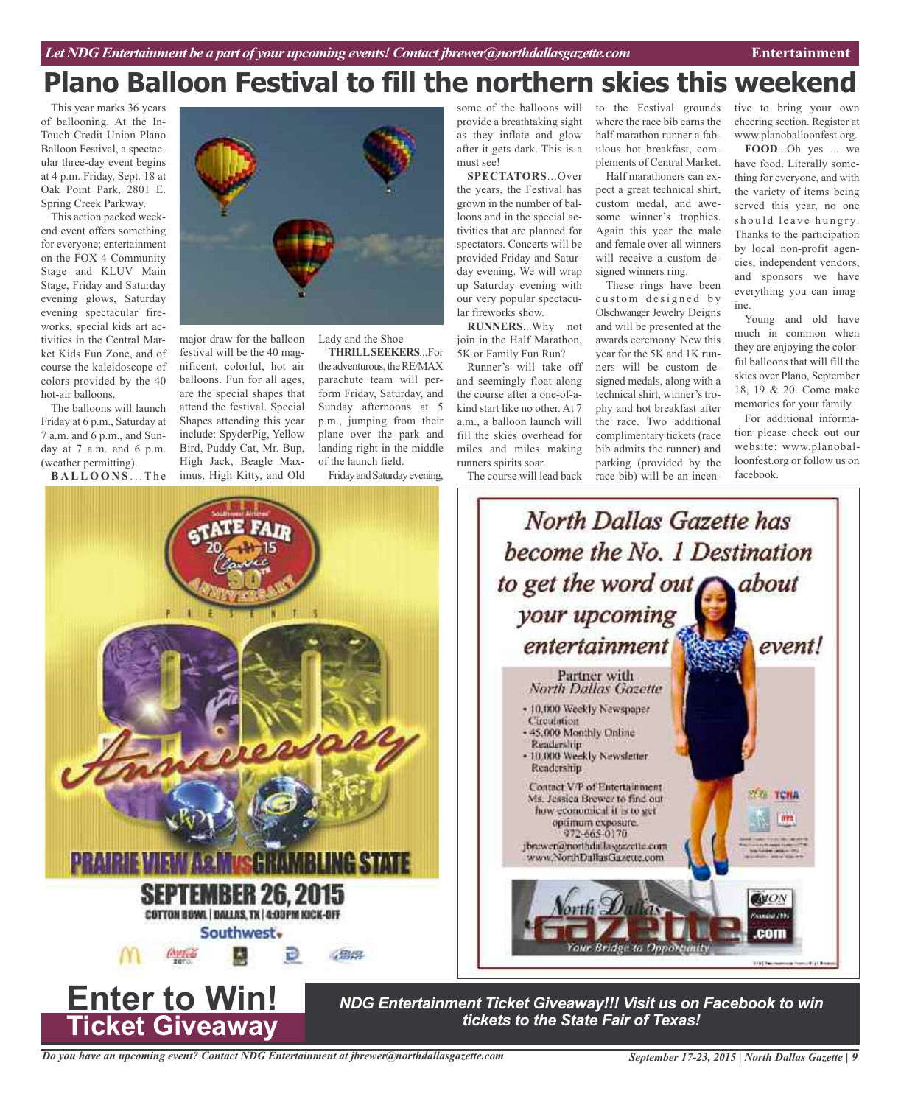# **Plano Balloon Festival to fill the northern skies this weekend**

This year marks 36 years of ballooning. At the In-Touch Credit Union Plano Balloon Festival, a spectacular three-day event begins at 4 p.m. Friday, Sept. 18 at Oak Point Park, 2801 E. Spring Creek Parkway.

This action packed weekend event offers something for everyone; entertainment on the FOX 4 Community Stage and KLUV Main Stage, Friday and Saturday evening glows, Saturday evening spectacular fireworks, special kids art activities in the Central Market Kids Fun Zone, and of course the kaleidoscope of colors provided by the 40 hot-air balloons.

The balloons will launch Friday at 6 p.m., Saturday at 7 a.m. and 6 p.m., and Sunday at 7 a.m. and 6 p.m. (weather permitting).

**B A L L O O N S** . . . T h e



major draw for the balloon festival will be the 40 magnificent, colorful, hot air balloons. Fun for all ages, are the special shapes that attend the festival. Special Shapes attending this year include: SpyderPig, Yellow Bird, Puddy Cat, Mr. Bup, High Jack, Beagle Maximus, High Kitty, and Old

Lady and the Shoe

**THRILLSEEKERS**...For the adventurous, the RE/MAX parachute team will perform Friday, Saturday, and Sunday afternoons at 5 p.m., jumping from their plane over the park and landing right in the middle of the launch field.

Friday and Saturday evening,

some of the balloons will provide a breathtaking sight as they inflate and glow after it gets dark. This is a must see!

**SPECTATORS**...Over the years, the Festival has grown in the number of balloons and in the special activities that are planned for spectators. Concerts will be provided Friday and Saturday evening. We will wrap up Saturday evening with our very popular spectacular fireworks show.

**RUNNERS**...Why not join in the Half Marathon, 5K or Family Fun Run?

Runner's will take off and seemingly float along the course after a one-of-akind start like no other. At 7 a.m., a balloon launch will fill the skies overhead for miles and miles making runners spirits soar.

The course will lead back

to the Festival grounds where the race bib earns the half marathon runner a fabulous hot breakfast, complements of Central Market.

Half marathoners can expect a great technical shirt, custom medal, and awesome winner's trophies. Again this year the male and female over-all winners will receive a custom designed winners ring.

These rings have been custom designed by Olschwanger Jewelry Deigns and will be presented at the awards ceremony. New this year for the 5K and 1K runners will be custom designed medals, along with a technical shirt, winner's trophy and hot breakfast after the race. Two additional complimentary tickets (race bib admits the runner) and parking (provided by the race bib) will be an incentive to bring your own cheering section. Register at www.planoballoonfest.org.

**FOOD**...Oh yes ... we have food. Literally something for everyone, and with the variety of items being served this year, no one should leave hungry. Thanks to the participation by local non-profit agencies, independent vendors, and sponsors we have everything you can imagine.

Young and old have much in common when they are enjoying the colorful balloons that will fill the skies over Plano, September 18, 19 & 20. Come make memories for your family.

For additional information please check out our website: www.planoballoonfest.org or follow us on facebook.



*Do you have an upcoming event? Contact NDG Entertainment at jbrewer@northdallasgazette.com*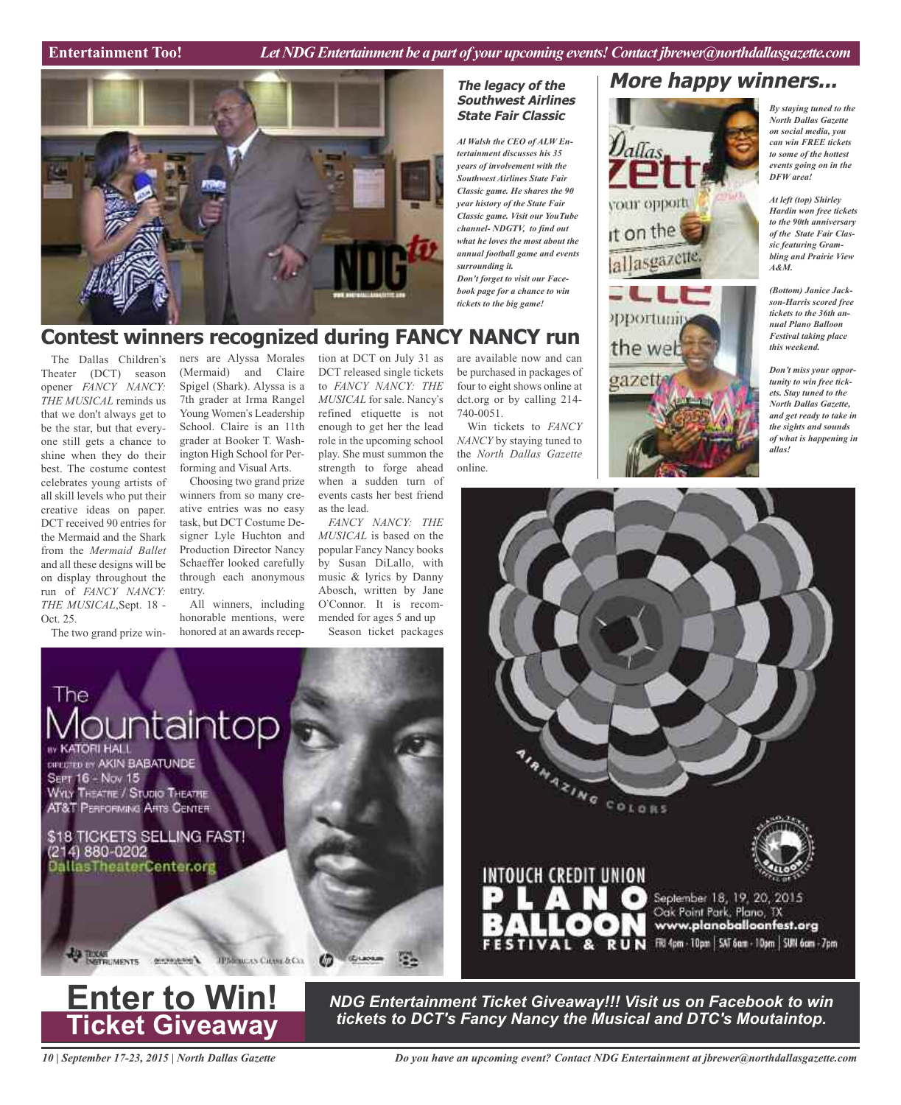**The legacy of the Southwest Airlines State Fair Classic**

*Classic game. He shares the 90*

*what he loves the most about the annual football game and events*



# **Contest winners recognized during FANCY NANCY run**

The Dallas Children's Theater (DCT) season opener *FANCY NANCY: THE MUSICAL* reminds us that we don't always get to be the star, but that everyone still gets a chance to shine when they do their best. The costume contest celebrates young artists of all skill levels who put their creative ideas on paper. DCT received 90 entries for the Mermaid and the Shark from the *Mermaid Ballet* and all these designs will be on display throughout the run of *FANCY NANCY: THE MUSICAL*,Sept. 18 - Oct. 25.

The two grand prize win-

ners are Alyssa Morales (Mermaid) and Claire Spigel (Shark). Alyssa is a 7th grader at Irma Rangel Young Women's Leadership School. Claire is an 11th grader at Booker T. Washington High School for Performing and Visual Arts.

Choosing two grand prize winners from so many creative entries was no easy task, but DCT Costume Designer Lyle Huchton and Production Director Nancy Schaeffer looked carefully through each anonymous entry.

All winners, including honorable mentions, were honored at an awards reception at DCT on July 31 as DCT released single tickets to *FANCY NANCY: THE MUSICAL* for sale. Nancy's refined etiquette is not enough to get her the lead role in the upcoming school play. She must summon the strength to forge ahead when a sudden turn of events casts her best friend as the lead.

*FANCY NANCY: THE MUSICAL* is based on the popular Fancy Nancy books by Susan DiLallo, with music & lyrics by Danny Abosch, written by Jane O'Connor. It is recommended for ages 5 and up Season ticket packages

are available now and can be purchased in packages of four to eight shows online at dct.org or by calling 214- 740-0051.

Win tickets to *FANCY NANCY* by staying tuned to the *North Dallas Gazette* online.





*By staying tuned to the North Dallas Gazette on social media, you can win FREE tickets to some of the hottest events going on in the DFW area!*

*At left (top) Shirley Hardin won free tickets to the 90th anniversary of the State Fair Classic featuring Grambling and Prairie View A&M.*

*(Bottom) Janice Jackson-Harris scored free tickets to the 36th annual Plano Balloon Festival taking place this weekend.*

*Don't miss your opportunity to win free tickets. Stay tuned to the North Dallas Gazette, and get ready to take in the sights and sounds of what is happening in allas!*







*NDG Entertainment Ticket Giveaway!!! Visit us on Facebook to win tickets to DCT's Fancy Nancy the Musical and DTC's Moutaintop.* **Enter to Win!**

*10 | September 17-23, 2015 | North Dallas Gazette*

*Do you have an upcoming event? Contact NDG Entertainment at jbrewer@northdallasgazette.com*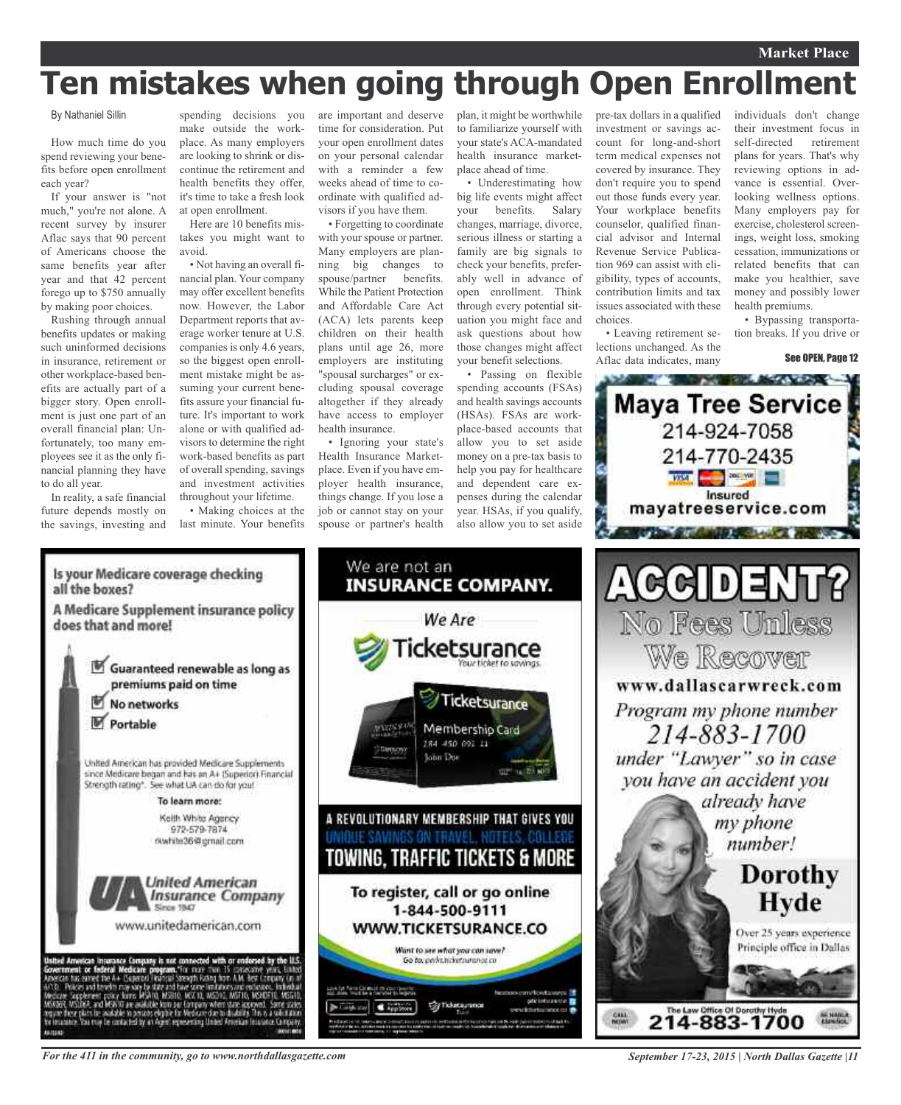## **Market Place**

# **Ten mistakes when going through Open Enrollment**

By Nathaniel Sillin

How much time do you spend reviewing your benefits before open enrollment each year?

If your answer is "not much," you're not alone. A recent survey by insurer Aflac says that 90 percent of Americans choose the same benefits year after year and that 42 percent forego up to \$750 annually by making poor choices.

Rushing through annual benefits updates or making such uninformed decisions in insurance, retirement or other workplace-based benefits are actually part of a bigger story. Open enrollment is just one part of an overall financial plan: Unfortunately, too many employees see it as the only financial planning they have to do all year.

In reality, a safe financial future depends mostly on the savings, investing and

spending decisions you make outside the workplace. As many employers are looking to shrink or discontinue the retirement and health benefits they offer, it's time to take a fresh look at open enrollment.

Here are 10 benefits mistakes you might want to avoid.

• Not having an overall financial plan. Your company may offer excellent benefits now. However, the Labor Department reports that average worker tenure at U.S. companies is only 4.6 years, so the biggest open enrollment mistake might be assuming your current benefits assure your financial future. It's important to work alone or with qualified advisors to determine the right work-based benefits as part of overall spending, savings and investment activities throughout your lifetime.

• Making choices at the last minute. Your benefits

are important and deserve time for consideration. Put your open enrollment dates on your personal calendar with a reminder a few weeks ahead of time to coordinate with qualified advisors if you have them.

• Forgetting to coordinate with your spouse or partner. Many employers are planning big changes to spouse/partner benefits. While the Patient Protection and Affordable Care Act (ACA) lets parents keep children on their health plans until age 26, more employers are instituting "spousal surcharges" or excluding spousal coverage altogether if they already have access to employer health insurance.

• Ignoring your state's Health Insurance Marketplace. Even if you have employer health insurance, things change. If you lose a job or cannot stay on your spouse or partner's health

We are not an

We Are

:ketsurance

Ticketsurance

Membership Card 184 450 091 11

**John Dor** 

To register, call or go online

1-844-500-9111

WWW.TICKETSURANCE.CO

Want to see what you can save? Go to, perhanciarsurance co

**Sy Ticketauran** 

plan, it might be worthwhile to familiarize yourself with your state's ACA-mandated health insurance marketplace ahead of time.

• Underestimating how big life events might affect your benefits. Salary changes, marriage, divorce, serious illness or starting a family are big signals to check your benefits, preferably well in advance of open enrollment. Think through every potential situation you might face and ask questions about how those changes might affect your benefit selections.

• Passing on flexible spending accounts (FSAs) and health savings accounts (HSAs). FSAs are workplace-based accounts that allow you to set aside money on a pre-tax basis to help you pay for healthcare and dependent care expenses during the calendar year. HSAs, if you qualify, also allow you to set aside

pre-tax dollars in a qualified investment or savings account for long-and-short term medical expenses not covered by insurance. They don't require you to spend out those funds every year. Your workplace benefits counselor, qualified financial advisor and Internal Revenue Service Publication 969 can assist with eligibility, types of accounts, contribution limits and tax issues associated with these choices.

• Leaving retirement selections unchanged. As the Aflac data indicates, many

individuals don't change their investment focus in self-directed retirement plans for years. That's why reviewing options in advance is essential. Overlooking wellness options. Many employers pay for exercise, cholesterol screenings, weight loss, smoking cessation, immunizations or related benefits that can make you healthier, save money and possibly lower health premiums.

• Bypassing transportation breaks. If you drive or

See OPEN, Page 12





*For the 411 in the community, go to www.northdallasgazette.com*

*September 17-23, 2015 | North Dallas Gazette |11*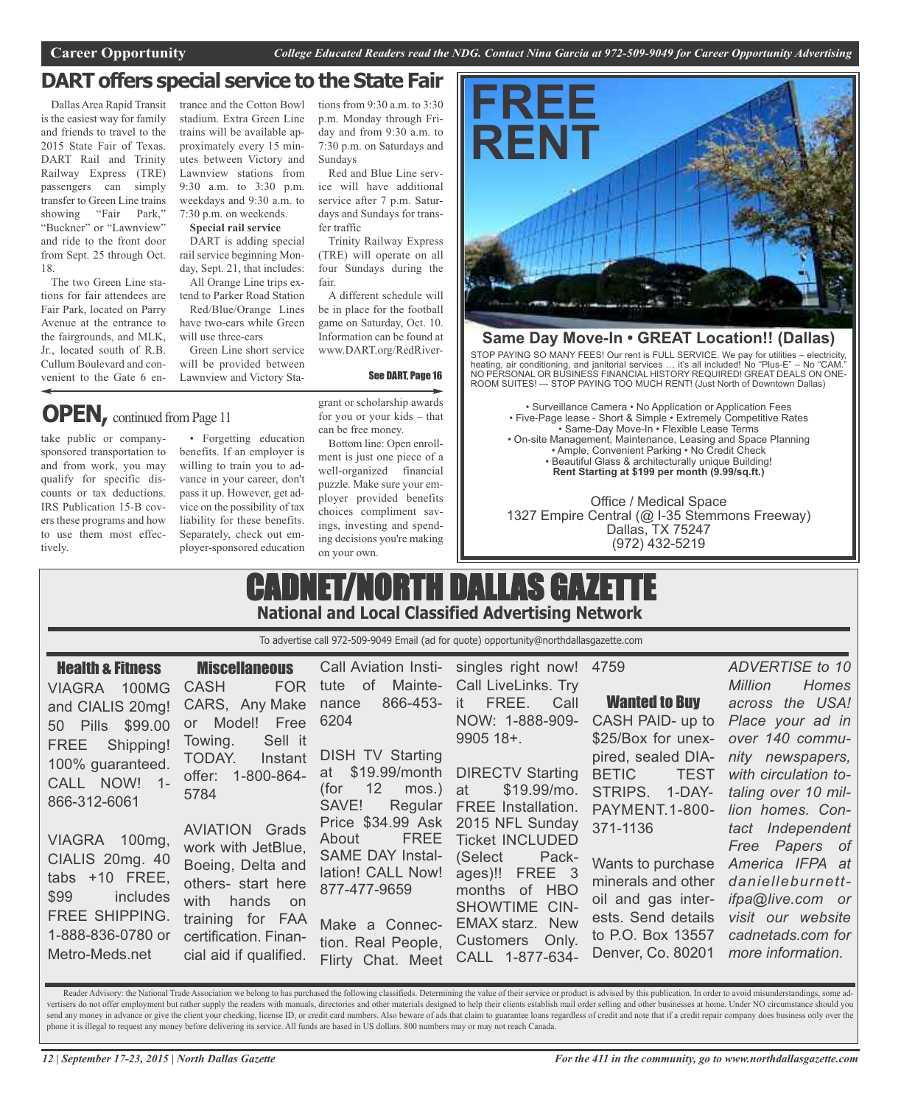# **DART offers special service to the State Fair**

Dallas Area Rapid Transit is the easiest way for family and friends to travel to the 2015 State Fair of Texas. DART Rail and Trinity Railway Express (TRE) passengers can simply transfer to Green Line trains showing "Fair Park," "Buckner" or "Lawnview" and ride to the front door from Sept. 25 through Oct. 18.

The two Green Line stations for fair attendees are Fair Park, located on Parry Avenue at the entrance to the fairgrounds, and MLK, Jr., located south of R.B. Cullum Boulevard and convenient to the Gate 6 en-

trance and the Cotton Bowl stadium. Extra Green Line trains will be available approximately every 15 minutes between Victory and Lawnview stations from 9:30 a.m. to 3:30 p.m. weekdays and 9:30 a.m. to 7:30 p.m. on weekends.

## **Special rail service**

DART is adding special rail service beginning Monday, Sept. 21, that includes: All Orange Line trips ex-

tend to Parker Road Station Red/Blue/Orange Lines have two-cars while Green

will use three-cars Green Line short service will be provided between Lawnview and Victory Sta-

# **OPEN**, continued from Page 11

take public or companysponsored transportation to and from work, you may qualify for specific discounts or tax deductions. IRS Publication 15-B covers these programs and how to use them most effectively.

• Forgetting education benefits. If an employer is willing to train you to advance in your career, don't pass it up. However, get advice on the possibility of tax liability for these benefits. Separately, check out employer-sponsored education grant or scholarship awards for you or your kids – that can be free money.

See DART, Page 16

tions from 9:30 a.m. to 3:30 p.m. Monday through Friday and from 9:30 a.m. to 7:30 p.m. on Saturdays and

Red and Blue Line service will have additional service after 7 p.m. Saturdays and Sundays for trans-

Trinity Railway Express (TRE) will operate on all four Sundays during the

A different schedule will be in place for the football game on Saturday, Oct. 10. Information can be found at www.DART.org/RedRiver-

Sundays

fer traffic

fair.

Bottom line: Open enrollment is just one piece of a well-organized financial puzzle. Make sure your employer provided benefits choices compliment savings, investing and spending decisions you're making on your own.



# **Same Day Move-In • GREAT Location!! (Dallas)**

STOP PAYING SO MANY FEES! Our rent is FULL SERVICE. We pay for utilities – electricity, heating, air conditioning, and janitorial services … it's all included! No "Plus-E" – No "CAM." NO PERSONAL OR BUSINESS FINANCIAL HISTORY REQUIRED! GREAT DEALS ON ONE-ROOM SUITES! --- STOP PAYING TOO MUCH RENT! (Just North of Downtown Dallas)

• Surveillance Camera • No Application or Application Fees • Five-Page lease - Short & Simple • Extremely Competitive Rates • Same-Day Move-In • Flexible Lease Terms • On-site Management, Maintenance, Leasing and Space Planning • Ample, Convenient Parking • No Credit Check • Beautiful Glass & architecturally unique Building! **Rent Starting at \$199 per month (9.99/sq.ft.)**

Office / Medical Space 1327 Empire Central (@ I-35 Stemmons Freeway) Dallas, TX 75247 (972) 432-5219

# CADNET/NORTH DALLAS GAZETTE **National and Local Classified Advertising Network**

To advertise call 972-509-9049 Email (ad for quote) opportunity@northdallasgazette.com

| <b>Health &amp; Fitness</b><br>VIAGRA 100MG<br>and CIALIS 20mg!                                                                                         | <b>FOR</b><br><b>CASH</b><br>CARS, Any Make                                                                                                                                    | $\circ$ of<br>tute<br>866-453- it<br>nance                                                                                                        | <b>Miscellaneous</b> Call Aviation Insti- singles right now! 4759<br>Mainte- Call LiveLinks. Try<br>FREE.<br>Call                                                                                   | <u>e de la compa</u><br><b>Wanted to Buy</b>                                                                                              | ADVERTISE to 10<br>Homes<br><b>Million</b><br>across the USA!                                                                                                |
|---------------------------------------------------------------------------------------------------------------------------------------------------------|--------------------------------------------------------------------------------------------------------------------------------------------------------------------------------|---------------------------------------------------------------------------------------------------------------------------------------------------|-----------------------------------------------------------------------------------------------------------------------------------------------------------------------------------------------------|-------------------------------------------------------------------------------------------------------------------------------------------|--------------------------------------------------------------------------------------------------------------------------------------------------------------|
| 50 Pills \$99.00<br>FREE Shipping!<br>100% guaranteed.<br>CALL NOW! 1-<br>866-312-6061                                                                  | Free<br>Model!<br>or<br>Sell it<br>Towing.<br>TODAY.<br>Instant<br>offer: 1-800-864-<br>5784                                                                                   | 6204<br><b>DISH TV Starting</b><br>(for 12)<br>mos.) at<br>SAVE!<br>Regular                                                                       | NOW: 1-888-909-<br>9905 18+.<br>at \$19.99/month DIRECTV Starting<br>\$19.99/mo.<br><b>FREE</b> Installation.                                                                                       | CASH PAID- up to<br>\$25/Box for unex-<br>pired, sealed DIA-<br><b>BETIC</b><br><b>TEST</b><br>STRIPS. 1-DAY-<br><b>PAYMENT.1-800-</b>    | Place your ad in<br>over 140 commu-<br>nity newspapers,<br>with circulation to-<br>taling over 10 mil-<br>lion homes. Con-                                   |
| VIAGRA 100mg,<br>CIALIS 20mg. 40<br>tabs +10 FREE,<br>\$99<br><b>Example 1</b> includes<br><b>FREE SHIPPING.</b><br>1-888-836-0780 or<br>Metro-Meds.net | <b>AVIATION Grads</b><br>work with JetBlue,<br>Boeing, Delta and<br>others- start here<br>with hands on<br>training for FAA<br>certification. Finan-<br>cial aid if qualified. | <b>FREE</b><br>About<br><b>SAME DAY Instal-</b><br>lation! CALL Now!<br>877-477-9659<br>Make a Connec-<br>tion. Real People,<br>Flirty Chat. Meet | Price \$34.99 Ask 2015 NFL Sunday<br><b>Ticket INCLUDED</b><br>(Select<br>Pack-<br>ages)!! FREE 3<br>months of HBO<br>SHOWTIME CIN-<br><b>EMAX starz. New</b><br>Customers Only.<br>CALL 1-877-634- | 371-1136<br>Wants to purchase<br>minerals and other<br>oil and gas inter-<br>ests. Send details<br>to P.O. Box 13557<br>Denver, Co. 80201 | tact Independent<br>Free Papers of<br>America IFPA at<br>danielleburnett-<br>ifpa@live.com or<br>visit our website<br>cadnetads.com for<br>more information. |

Reader Advisory: the National Trade Association we belong to has purchased the following classifieds. Determining the value of their service or product is advised by this publication. In order to avoid misunderstandings, s vertisers do not offer employment but rather supply the readers with manuals, directories and other materials designed to help their clients establish mail order selling and other businesses at home. Under NO circumstance send any money in advance or give the client your checking, license ID, or credit card numbers. Also beware of ads that claim to guarantee loans regardless of credit and note that if a credit repair company does business o phone it is illegal to request any money before delivering its service. All funds are based in US dollars. 800 numbers may or may not reach Canada.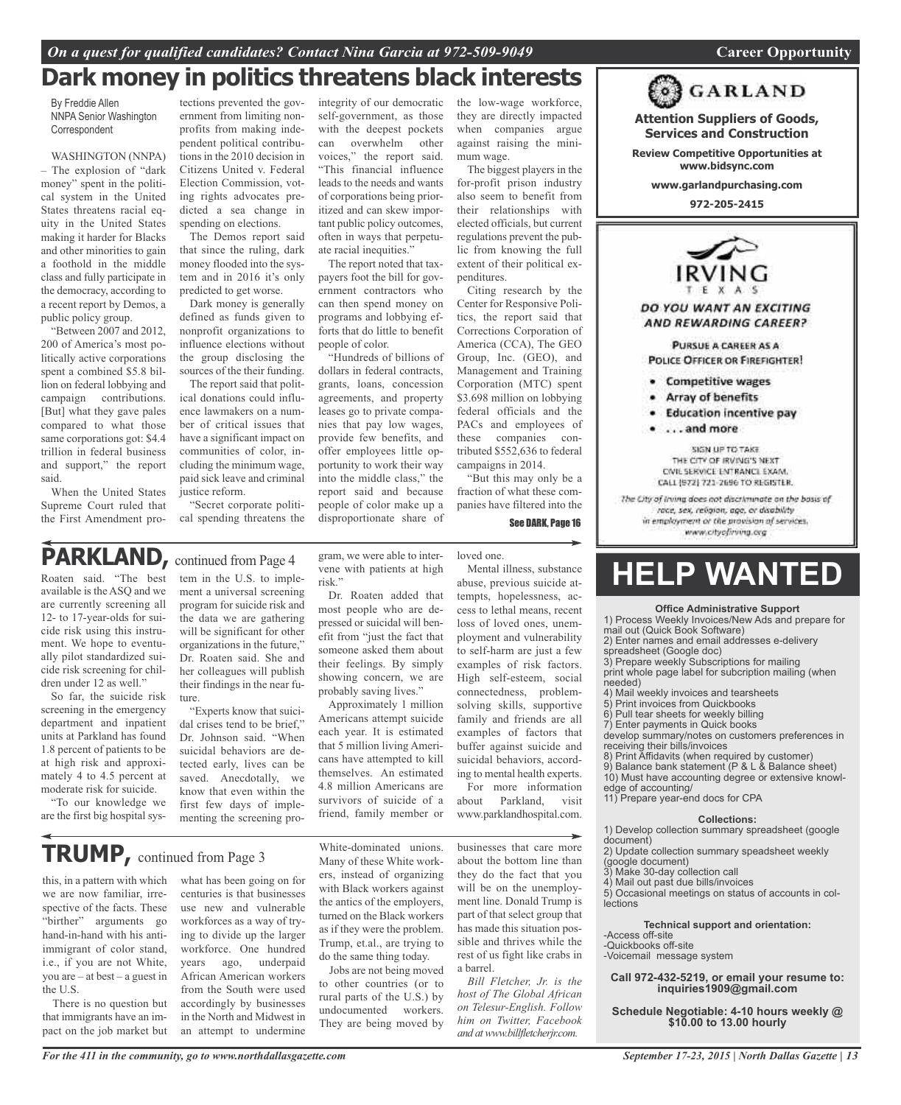# *On a quest for qualified candidates? Contact Nina Garcia at 972-509-9049* **Career Opportunity**

# **Dark money in politics threatens black interests**

integrity of our democratic self-government, as those with the deepest pockets can overwhelm other voices," the report said. "This financial influence leads to the needs and wants of corporations being prioritized and can skew important public policy outcomes, often in ways that perpetuate racial inequities."

The report noted that taxpayers foot the bill for government contractors who can then spend money on programs and lobbying efforts that do little to benefit

"Hundreds of billions of dollars in federal contracts, grants, loans, concession agreements, and property leases go to private companies that pay low wages, provide few benefits, and offer employees little opportunity to work their way into the middle class," the report said and because people of color make up a disproportionate share of

people of color.

By Freddie Allen NNPA Senior Washington Correspondent

#### WASHINGTON (NNPA)

– The explosion of "dark money" spent in the political system in the United States threatens racial equity in the United States making it harder for Blacks and other minorities to gain a foothold in the middle class and fully participate in the democracy, according to a recent report by Demos, a public policy group.

"Between 2007 and 2012, 200 of America's most politically active corporations spent a combined \$5.8 billion on federal lobbying and campaign contributions. [But] what they gave pales compared to what those same corporations got: \$4.4 trillion in federal business and support," the report said.

When the United States Supreme Court ruled that the First Amendment pro-

tections prevented the government from limiting nonprofits from making independent political contributions in the 2010 decision in Citizens United v. Federal Election Commission, voting rights advocates predicted a sea change in spending on elections.

The Demos report said that since the ruling, dark money flooded into the system and in 2016 it's only predicted to get worse.

Dark money is generally defined as funds given to nonprofit organizations to influence elections without the group disclosing the sources of the their funding.

The report said that political donations could influence lawmakers on a number of critical issues that have a significant impact on communities of color, including the minimum wage, paid sick leave and criminal justice reform.

"Secret corporate political spending threatens the

# PARKLAND, continued from Page 4

Roaten said. "The best available is the ASQ and we are currently screening all 12- to 17-year-olds for suicide risk using this instrument. We hope to eventually pilot standardized suicide risk screening for children under 12 as well."

So far, the suicide risk screening in the emergency department and inpatient units at Parkland has found 1.8 percent of patients to be at high risk and approximately 4 to 4.5 percent at moderate risk for suicide.

"To our knowledge we are the first big hospital system in the U.S. to implement a universal screening program for suicide risk and the data we are gathering will be significant for other organizations in the future," Dr. Roaten said. She and her colleagues will publish their findings in the near future.

"Experts know that suicidal crises tend to be brief," Dr. Johnson said. "When suicidal behaviors are detected early, lives can be saved. Anecdotally, we know that even within the first few days of implementing the screening program, we were able to intervene with patients at high risk."

Dr. Roaten added that most people who are depressed or suicidal will benefit from "just the fact that someone asked them about their feelings. By simply showing concern, we are probably saving lives."

Approximately 1 million Americans attempt suicide each year. It is estimated that 5 million living Americans have attempted to kill themselves. An estimated 4.8 million Americans are survivors of suicide of a friend, family member or

loved one. Mental illness, substance abuse, previous suicide at-

tempts, hopelessness, access to lethal means, recent loss of loved ones, unemployment and vulnerability to self-harm are just a few examples of risk factors. High self-esteem, social connectedness, problemsolving skills, supportive family and friends are all examples of factors that buffer against suicide and suicidal behaviors, according to mental health experts.

the low-wage workforce, they are directly impacted when companies argue against raising the mini-

The biggest players in the for-profit prison industry also seem to benefit from their relationships with elected officials, but current regulations prevent the public from knowing the full extent of their political ex-

Citing research by the Center for Responsive Politics, the report said that Corrections Corporation of America (CCA), The GEO Group, Inc. (GEO), and Management and Training Corporation (MTC) spent \$3.698 million on lobbying federal officials and the PACs and employees of these companies contributed \$552,636 to federal campaigns in 2014.

"But this may only be a fraction of what these companies have filtered into the

See DARK, Page 16

mum wage.

penditures.

For more information about Parkland, visit www.parklandhospital.com.

**TRUMP,** continued from Page <sup>3</sup>

this, in a pattern with which we are now familiar, irrespective of the facts. These "birther" arguments go hand-in-hand with his antiimmigrant of color stand, i.e., if you are not White, you are – at best – a guest in the U.S.

There is no question but that immigrants have an impact on the job market but

what has been going on for centuries is that businesses use new and vulnerable workforces as a way of trying to divide up the larger workforce. One hundred years ago, underpaid African American workers from the South were used accordingly by businesses in the North and Midwest in an attempt to undermine

*For the 411 in the community, go to www.northdallasgazette.com*

White-dominated unions. Many of these White workers, instead of organizing with Black workers against the antics of the employers, turned on the Black workers as if they were the problem. Trump, et.al., are trying to do the same thing today.

Jobs are not being moved to other countries (or to rural parts of the U.S.) by undocumented workers. They are being moved by

businesses that care more about the bottom line than they do the fact that you will be on the unemployrest of us fight like crabs in a barrel.

*Bill Fletcher, Jr. is the host of The Global African on Telesur-English. Follow him on Twitter, Facebook and atwww.billfletcherjr.com.*

**www.garlandpurchasing.com 972-205-2415** IRVING

**Attention Suppliers of Goods, Services and Construction Review Competitive Opportunities at www.bidsync.com**

**GARLAND** 

DO YOU WANT AN EXCITING AND REWARDING CAREER?

PURSUE A CAREER AS A POLICE OFFICER OR FIREFIGHTER!

- **Competitive wages** ٠
- Array of benefits
- **Education incentive pay**
- ...and more

SIGN UP TO TAKE THE CITY OF IRVING'S NEXT CIVIL SERVICE ENTRANCE EXAM. CALL (972) 721-2696 TO REGISTER.

The City of Irving does not discriminate on the basis of race, sex, religion, age, or disability in employment or the provision of services. www.chyofining.org

# **HELP WANTED**

#### **Office Administrative Support**

1) Process Weekly Invoices/New Ads and prepare for mail out (Quick Book Software)

2) Enter names and email addresses e-delivery

spreadsheet (Google doc) 3) Prepare weekly Subscriptions for mailing

print whole page label for subcription mailing (when needed)

- 4) Mail weekly invoices and tearsheets
- 5) Print invoices from Quickbooks
- Pull tear sheets for weekly billing
- 7) Enter payments in Quick books

develop summary/notes on customers preferences in receiving their bills/invoices

8) Print Affidavits (when required by customer)

- 9) Balance bank statement (P & L & Balance sheet)
- 10) Must have accounting degree or extensive knowledge of accounting/
- 11) Prepare year-end docs for CPA

#### **Collections:**

1) Develop collection summary spreadsheet (google

document)

2) Update collection summary speadsheet weekly

- (google document)<br>3) Make 30-document
- Make 30-day collection call 4) Mail out past due bills/invoices

5) Occasional meetings on status of accounts in collections

**Technical support and orientation:**

-Access off-site

-Quickbooks off-site

-Voicemail message system

**Call 972-432-5219, or email your resume to: inquiries1909@gmail.com**

**Schedule Negotiable: 4-10 hours weekly @ \$10.00 to 13.00 hourly**

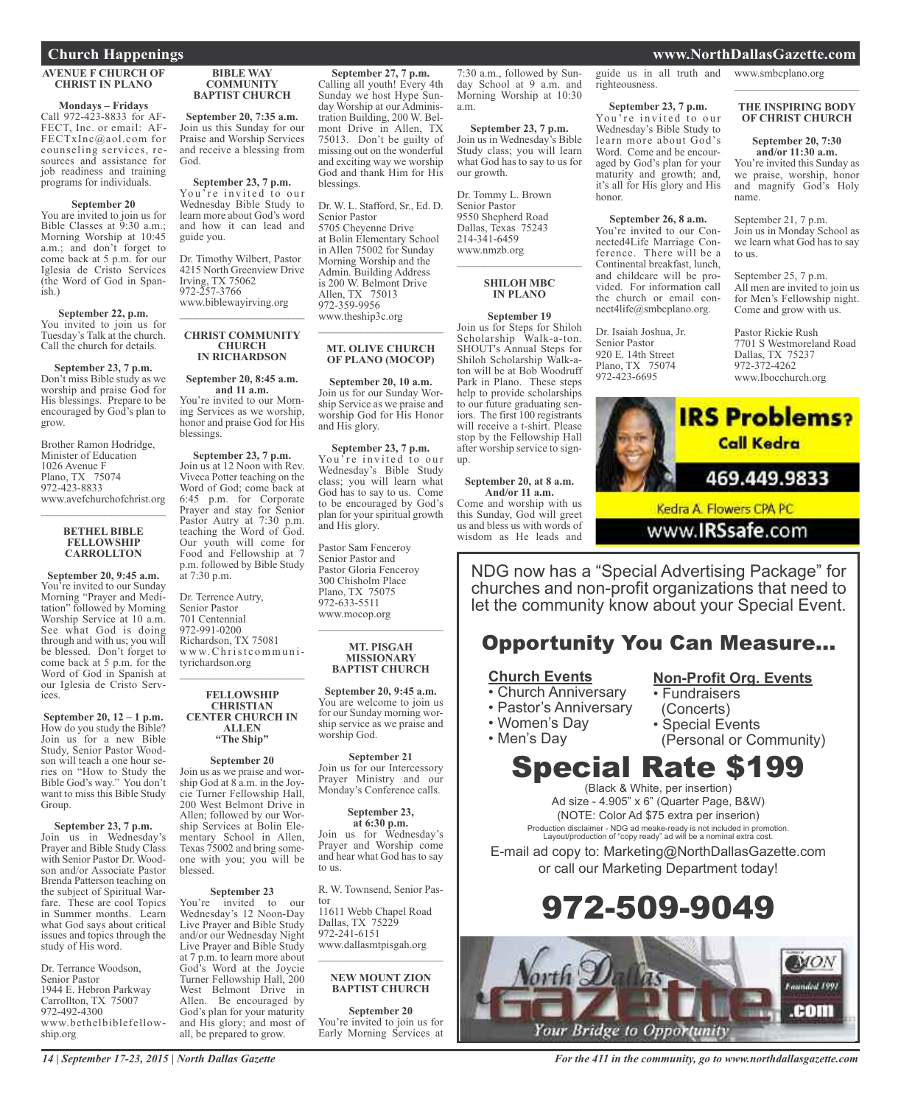## **AVENUE F CHURCH OF CHRIST IN PLANO**

**Mondays – Fridays** FECT, Inc. or email: AF-FECTxInc@aol.com for counseling services, resources and assistance for job readiness and training programs for individuals.

#### **September 20**

You are invited to join us for Bible Classes at 9:30 a.m.; Morning Worship at 10:45 a.m.; and don't forget to come back at 5 p.m. for our Iglesia de Cristo Services (the Word of God in Spanish)

## **September 22, p.m.**<br>You invited to join us for Tuesday's Talk at the church. Call the church for details.

**September 23, 7 p.m.** Don't miss Bible study as we worship and praise God for His blessings. Prepare to be encouraged by God's plan to grow.

Brother Ramon Hodridge, Minister of Education 1026 Avenue F Plano, TX 75074<br>972-423-8833 www.avefchurchofchrist.org

#### **BETHEL BIBLE FELLOWSHIP CARROLLTON**

 $\overline{\phantom{a}}$  , where  $\overline{\phantom{a}}$ 

**September 20, 9:45 a.m.** You're invited to our Sunday<br>Morning "Prayer and Meditation" followed by Morning<br>Worship Service at 10 a.m. See what God is doing through and with us; you will be blessed. Don't forget to come back at 5 p.m. for the Word of God in Spanish at our Iglesia de Cristo Services.

**September 20, 12 – 1 p.m.** How do you study the Bible? Join us for a new Bible<br>Study, Senior Pastor Woodson will teach a one hour series on "How to Study the Bible God's way." You don't want to miss this Bible Study Group.

**September 23, 7 p.m.** Join us in Wednesday's Prayer and Bible Study Class with Senior Pastor Dr. Woodson and/or Associate Pastor<br>Brenda Patterson teaching on<br>the subject of Spiritual Warfare. These are cool Topics<br>in Summer months. Learn what God says about critical issues and topics through the study of His word.

Dr. Terrance Woodson, Senior Pastor 1944 E. Hebron Parkway Carrollton, TX 75007 972-492-4300 www.bethelbiblefellow- ship.org

#### **BIBLE WAY COMMUNITY BAPTIST CHURCH**

**September 20, 7:35 a.m.** Join us this Sunday for our Praise and Worship Services and receive a blessing from God.

**September 23, 7 p.m.** You're invited to our Wednesday Bible Study to learn more about God's word and how it can lead and guide you.

Dr. Timothy Wilbert, Pastor 4215 North Greenview Drive Irving, TX 75062 972-257-3766 www.biblewayirving.org

#### **CHRIST COMMUNITY CHURCH IN RICHARDSON**

 $\mathcal{L}_\text{max}$  , where  $\mathcal{L}_\text{max}$  and  $\mathcal{L}_\text{max}$ 

#### **September 20, 8:45 a.m.**

**and 11 <b>a.m.**<br>You're invited to our Morning Services as we worship, honor and praise God for His blessings.

**September 23, 7 p.m.** Join us at 12 Noon with Rev. Viveca Potter teaching on the Word of God; come back at 6:45 p.m. for Corporate Prayer and stay for Senior Pastor Autry at 7:30 p.m. teaching the Word of God. Our youth will come for Food and Fellowship at <sup>7</sup> p.m. followed by Bible Study at 7:30 p.m.

Dr. Terrence Autry, Senior Pastor 701 Centennial 972-991-0200 Richardson, TX 75081 w w w.Ch rist c ommu n ityrichardson.org

#### **FELLOWSHIP CHRISTIAN CENTER CHURCH IN ALLEN "The Ship"**

 $\mathcal{L}_{\text{max}}$  , where  $\mathcal{L}_{\text{max}}$ 

## **September 20**

Join us as we praise and wor-<br>ship God at 8 a.m. in the Joy-<br>cie Turner Fellowship Hall, 200 West Belmont Drive in Allen; followed by our Worship Services at Bolin Ele-<br>mentary School in Allen, Texas 75002 and bring some-<br>one with you; you will be blessed.

**September 23**<br>You're invited to our Wednesday's 12 Noon-Day<br>Live Prayer and Bible Study and/or our Wednesday Night<br>Live Prayer and Bible Study at 7 p.m. to learn more about God's Word at the Joycie Turner Fellowship Hall, 200 West Belmont Drive in Allen. Be encouraged by God's plan for your maturity and His glory; and most of all, be prepared to grow.

#### **September 27, 7 p.m.** Calling all youth! Every 4th Sunday we host Hype Sunday Worship at our Administration Building, 200 W. Belmont Drive in Allen, TX 75013. Don't be guilty of missing out on the wonderful and exciting way we worship

a.m.

up.

our growth.

Dr. Tommy L. Brown Senior Pastor 9550 Shepherd Road Dallas, Texas 75243 214-341-6459 www.nmzb.org

**September 23, 7 p.m.** Join us in Wednesday's Bible Study class; you will learn what God has to say to us for

\_\_\_\_\_\_\_\_\_\_\_\_\_\_\_\_\_\_\_\_\_\_\_ **SHILOH MBC IN PLANO September 19** Join us for Steps for Shiloh Scholarship Walk-a-ton. SHOUT's Annual Steps for Shiloh Scholarship Walk-aton will be at Bob Woodruff Park in Plano. These steps help to provide scholarships to our future graduating seniors. The first 100 registrants will receive a t-shirt. Please stop by the Fellowship Hall after worship service to sign-

**September 20, at 8 a.m. And/or 11 a.m.** Come and worship with us this Sunday, God will greet us and bless us with words of wisdom as He leads and

God and thank Him for His

blessings.

Dr. W. L. Stafford, Sr., Ed. D. Senior Pastor 5705 Cheyenne Drive at Bolin Elementary School in Allen 75002 for Sunday Morning Worship and the Admin. Building Address is 200 W. Belmont Drive Allen, TX 75013 972-359-9956 www.theship3c.org

#### **MT. OLIVE CHURCH OF PLANO (MOCOP)**

\_\_\_\_\_\_\_\_\_\_\_\_\_\_\_\_\_\_\_\_\_\_\_

**September 20, 10 a.m.** Join us for our Sunday Worship Service as we praise and worship God for His Honor and His glory.

**September 23, 7 p.m.** You're invited to our Wednesday's Bible Study class; you will learn what God has to say to us. Come to be encouraged by God's plan for your spiritual growth and His glory.

Pastor Sam Fenceroy Senior Pastor and Pastor Gloria Fenceroy 300 Chisholm Place Plano, TX 75075 972-633-5511 www.mocop.org  $\overline{\phantom{a}}$  , where  $\overline{\phantom{a}}$  , where  $\overline{\phantom{a}}$  , where  $\overline{\phantom{a}}$ 

#### **MT. PISGAH MISSIONARY BAPTIST CHURCH**

**September 20, 9:45 a.m.** You are welcome to join us for our Sunday morning worship service as we praise and worship God.

## **September 21**

Join us for our Intercessory Prayer Ministry and our Monday's Conference calls.

## **September 23,**

**at 6:30 p.m.** Join us for Wednesday's Prayer and Worship come and hear what God has to say to us.

R. W. Townsend, Senior Pastor 11611 Webb Chapel Road Dallas, TX 75229 972-241-6151 www.dallasmtpisgah.org

#### **NEW MOUNT ZION BAPTIST CHURCH**

 $\overline{\phantom{a}}$  , where  $\overline{\phantom{a}}$  , where  $\overline{\phantom{a}}$  , where  $\overline{\phantom{a}}$ 

**September 20** You're invited to join us for Early Morning Services at

7:30 a.m., followed by Sunday School at 9 a.m. and Morning Worship at 10:30 guide us in all truth and righteousness.

**September 23, 7 p.m.** You're invited to our Wednesday's Bible Study to learn more about God's Word. Come and be encouraged by God's plan for your maturity and growth; and, it's all for His glory and His honor.

**September 26, 8 a.m.** You're invited to our Connected4Life Marriage Conference. There will be a Continental breakfast, lunch, and childcare will be provided. For information call the church or email connect4life@smbcplano.org.

Dr. Isaiah Joshua, Jr. Senior Pastor 920 E. 14th Street Plano, TX 75074 972-423-6695

## **Church Happenings www.NorthDallasGazette.com**

www.smbcplano.org  $\overline{\phantom{a}}$  , where  $\overline{\phantom{a}}$  , where  $\overline{\phantom{a}}$  , where  $\overline{\phantom{a}}$ 

#### **THE INSPIRING BODY OF CHRIST CHURCH**

## **September 20, 7:30 and/or 11:30 a.m.** You're invited this Sunday as

we praise, worship, honor and magnify God's Holy name.

September 21, 7 p.m. Join us in Monday School as we learn what God has to say to us.

September 25, 7 p.m. All men are invited to join us for Men's Fellowship night. Come and grow with us.

Pastor Rickie Rush 7701 S Westmoreland Road Dallas, TX 75237 972-372-4262 www.Ibocchurch.org



www.IRSsafe.com

NDG now has a "Special Advertising Package" for churches and non-profit organizations that need to let the community know about your Special Event.

# Opportunity You Can Measure...

## **Church Events**

- Church Anniversary
- Pastor's Anniversary
- Women's Day

• Men's Day

- (Concerts) • Special Events
- 

• Fundraisers

(Personal or Community)

**Non-Profit Org. Events**

# Special Rate \$199

(Black & White, per insertion) Ad size - 4.905" x 6" (Quarter Page, B&W) (NOTE: Color Ad \$75 extra per inserion)

Production disclaimer - NDG ad meake-ready is not included in promotion. Layout/production of "copy ready" ad will be a nominal extra cost.

E-mail ad copy to: Marketing@NorthDallasGazette.com or call our Marketing Department today!





*For the 411 in the community, go to www.northdallasgazette.com*

*14 | September 17-23, 2015 | North Dallas Gazette*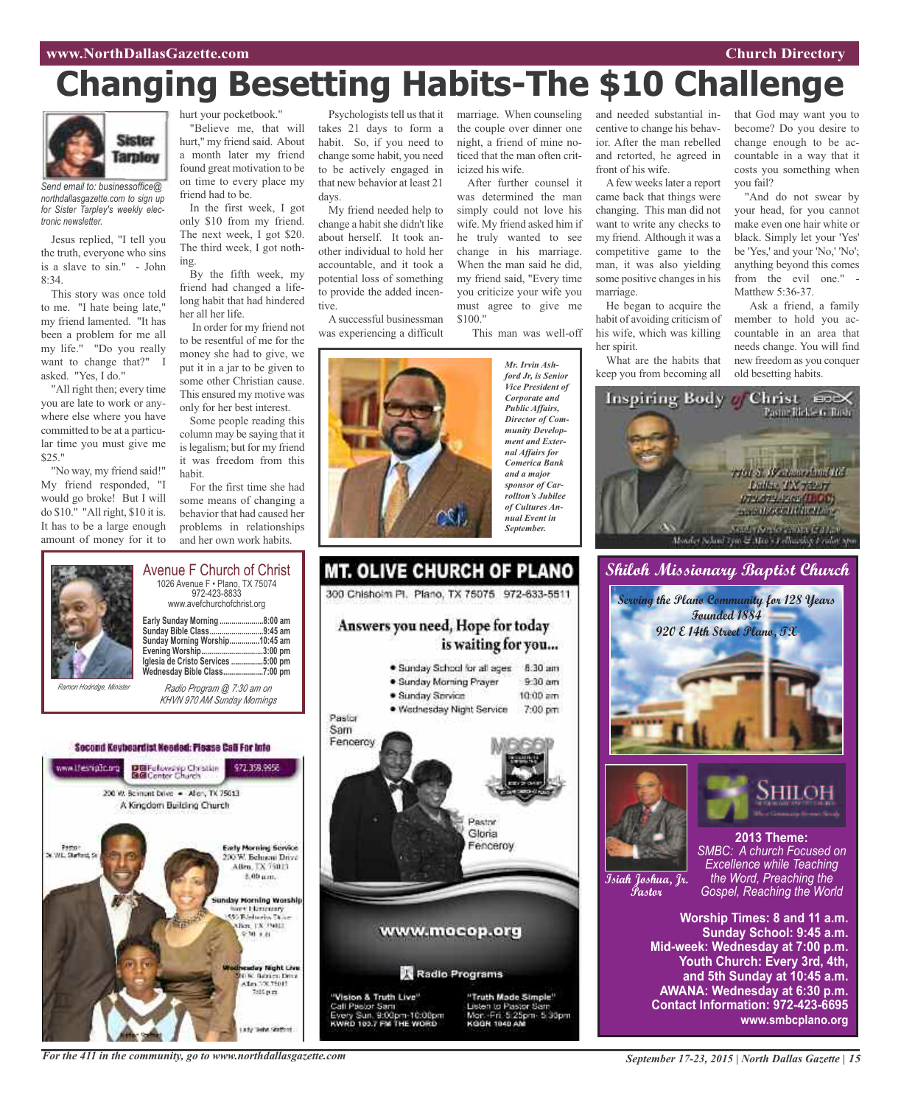# **Changing Besetting Habits-The \$10 Challenge**



*Send email to: businessoffice@ northdallasgazette.com to sign up for Sister Tarpley's weekly electronic newsletter.*

Jesus replied, "I tell you the truth, everyone who sins is a slave to sin." - John 8:34.

This story was once told to me. "I hate being late," my friend lamented. "It has been a problem for me all my life." "Do you really want to change that?" I asked. "Yes, I do."

"All right then; every time you are late to work or anywhere else where you have committed to be at a particular time you must give me \$25."

"No way, my friend said!" My friend responded, "I would go broke! But I will do \$10." "All right, \$10 it is. It has to be a large enough amount of money for it to



In the first week, I got only \$10 from my friend. The next week, I got \$20. The third week, I got nothing.

By the fifth week, my friend had changed a lifelong habit that had hindered her all her life.

In order for my friend not to be resentful of me for the money she had to give, we put it in a jar to be given to some other Christian cause. This ensured my motive was only for her best interest.

Some people reading this column may be saying that it is legalism; but for my friend it was freedom from this habit.

For the first time she had some means of changing a behavior that had caused her problems in relationships and her own work habits.

Psychologists tell us that it takes 21 days to form a habit. So, if you need to change some habit, you need to be actively engaged in that new behavior at least 21 days.

My friend needed help to change a habit she didn't like about herself. It took another individual to hold her accountable, and it took a potential loss of something to provide the added incentive.

A successful businessman was experiencing a difficult marriage. When counseling the couple over dinner one night, a friend of mine noticed that the man often criticized his wife.

After further counsel it was determined the man simply could not love his wife. My friend asked him if he truly wanted to see change in his marriage. When the man said he did, my friend said, "Every time you criticize your wife you must agree to give me \$100."

This man was well-off

*Mr. Irvin Ashford Jr, is Senior Vice President of Corporate and Public Affairs, Director of Community Development and External Affairs for Comerica Bank and a major sponsor of Carrollton's Jubilee of Cultures Annual Event in September.*

and needed substantial incentive to change his behavior. After the man rebelled and retorted, he agreed in front of his wife.

Afew weeks later a report came back that things were changing. This man did not want to write any checks to my friend. Although it was a competitive game to the man, it was also yielding some positive changes in his marriage.

He began to acquire the habit of avoiding criticism of his wife, which was killing her spirit.

What are the habits that keep you from becoming all

that God may want you to become? Do you desire to change enough to be accountable in a way that it costs you something when you fail?

"And do not swear by your head, for you cannot make even one hair white or black. Simply let your 'Yes' be 'Yes,' and your 'No,' 'No'; anything beyond this comes from the evil one." - Matthew 5:36-37.

Ask a friend, a family member to hold you accountable in an area that needs change. You will find new freedom as you conquer old besetting habits.



**Shiloh Missionary Baptist Church**





**Isiah Joshua, Jr. Pastor**



*SMBC: A church Focused on Excellence while Teaching the Word, Preaching the Gospel, Reaching the World*

**Worship Times: 8 and 11 a.m. Sunday School: 9:45 a.m. Mid-week: Wednesday at 7:00 p.m. Youth Church: Every 3rd, 4th, and 5th Sunday at 10:45 a.m. AWANA: Wednesday at 6:30 p.m. Contact Information: 972-423-6695 www.smbcplano.org**



*Ramon Hodridge, Minister*

**Early Sunday Morning ......................8:00 am Sunday Bible Class...........................9:45 am Sunday Morning Worship...............10:45 am Evening Worship...............................3:00 pm Iglesia de Cristo Services ................5:00 pm Wednesday Bible Class....................7:00 pm**

Avenue F Church of Christ 1026 Avenue F • Plano, TX 75074 972-423-8833 www.avefchurchofchrist.org

*Radio Program @ 7:30 am on KHVN 970 AM Sunday Mornings*

Second Keybeardist Needed: Please Call For Into



*For the 411 in the community, go to www.northdallasgazette.com*

300 Chishoim Pl. Plano, TX 75075 972-633-5511 Answers you need, Hope for today is waiting for you... · Sunday School for all ages 8:30 am · Sunday Morning Prayer  $9.30$  am · Sunday Service  $10:00$  am

291,

**MT. OLIVE CHURCH OF PLANO** 

· Wednesday Night Service 7:00 pm

Pastor